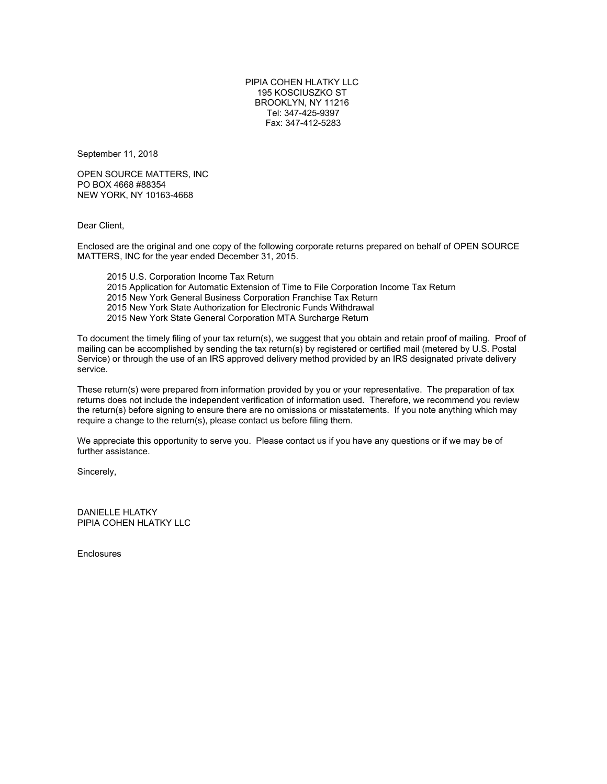PIPIA COHEN HLATKY LLC 195 KOSCIUSZKO ST BROOKLYN, NY 11216 Tel: 347-425-9397 Fax: 347-412-5283

September 11, 2018

OPEN SOURCE MATTERS, INC PO BOX 4668 #88354 NEW YORK, NY 10163-4668

Dear Client,

Enclosed are the original and one copy of the following corporate returns prepared on behalf of OPEN SOURCE MATTERS, INC for the year ended December 31, 2015.

2015 U.S. Corporation Income Tax Return 2015 Application for Automatic Extension of Time to File Corporation Income Tax Return 2015 New York General Business Corporation Franchise Tax Return 2015 New York State Authorization for Electronic Funds Withdrawal 2015 New York State General Corporation MTA Surcharge Return

To document the timely filing of your tax return(s), we suggest that you obtain and retain proof of mailing. Proof of mailing can be accomplished by sending the tax return(s) by registered or certified mail (metered by U.S. Postal Service) or through the use of an IRS approved delivery method provided by an IRS designated private delivery service.

These return(s) were prepared from information provided by you or your representative. The preparation of tax returns does not include the independent verification of information used. Therefore, we recommend you review the return(s) before signing to ensure there are no omissions or misstatements. If you note anything which may require a change to the return(s), please contact us before filing them.

We appreciate this opportunity to serve you. Please contact us if you have any questions or if we may be of further assistance.

Sincerely,

DANIELLE HLATKY PIPIA COHEN HLATKY LLC

**Enclosures**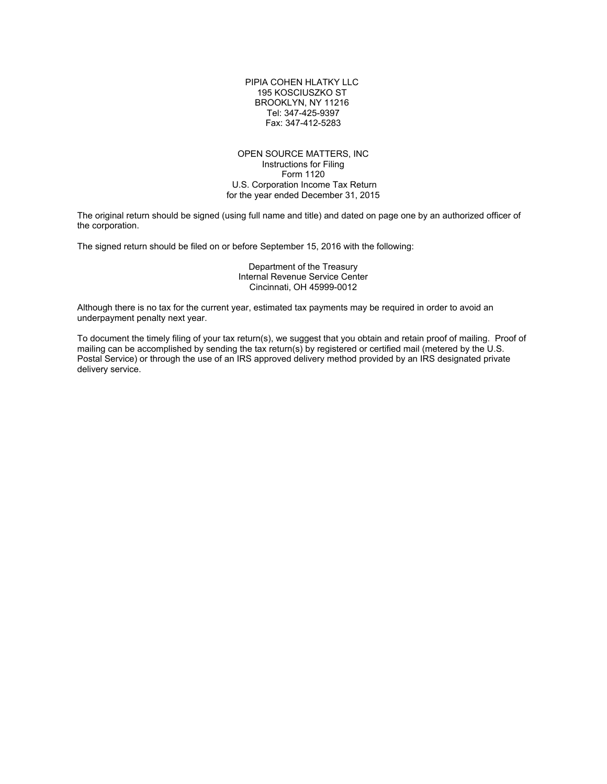PIPIA COHEN HLATKY LLC 195 KOSCIUSZKO ST BROOKLYN, NY 11216 Tel: 347-425-9397 Fax: 347-412-5283

#### OPEN SOURCE MATTERS, INC Instructions for Filing Form 1120 U.S. Corporation Income Tax Return for the year ended December 31, 2015

The original return should be signed (using full name and title) and dated on page one by an authorized officer of the corporation.

The signed return should be filed on or before September 15, 2016 with the following:

Department of the Treasury Internal Revenue Service Center Cincinnati, OH 45999-0012

Although there is no tax for the current year, estimated tax payments may be required in order to avoid an underpayment penalty next year.

To document the timely filing of your tax return(s), we suggest that you obtain and retain proof of mailing. Proof of mailing can be accomplished by sending the tax return(s) by registered or certified mail (metered by the U.S. Postal Service) or through the use of an IRS approved delivery method provided by an IRS designated private delivery service.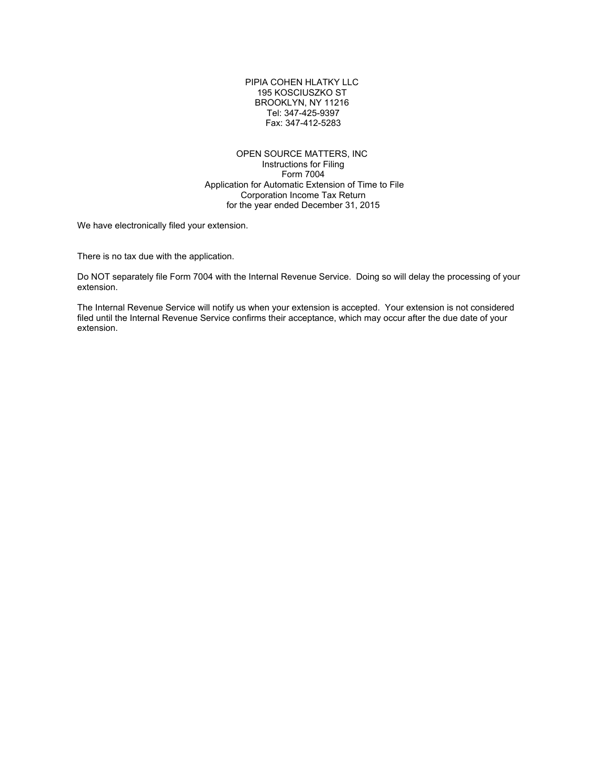PIPIA COHEN HLATKY LLC 195 KOSCIUSZKO ST BROOKLYN, NY 11216 Tel: 347-425-9397 Fax: 347-412-5283

OPEN SOURCE MATTERS, INC Instructions for Filing Form 7004 Application for Automatic Extension of Time to File Corporation Income Tax Return for the year ended December 31, 2015

We have electronically filed your extension.

There is no tax due with the application.

Do NOT separately file Form 7004 with the Internal Revenue Service. Doing so will delay the processing of your extension.

The Internal Revenue Service will notify us when your extension is accepted. Your extension is not considered filed until the Internal Revenue Service confirms their acceptance, which may occur after the due date of your extension.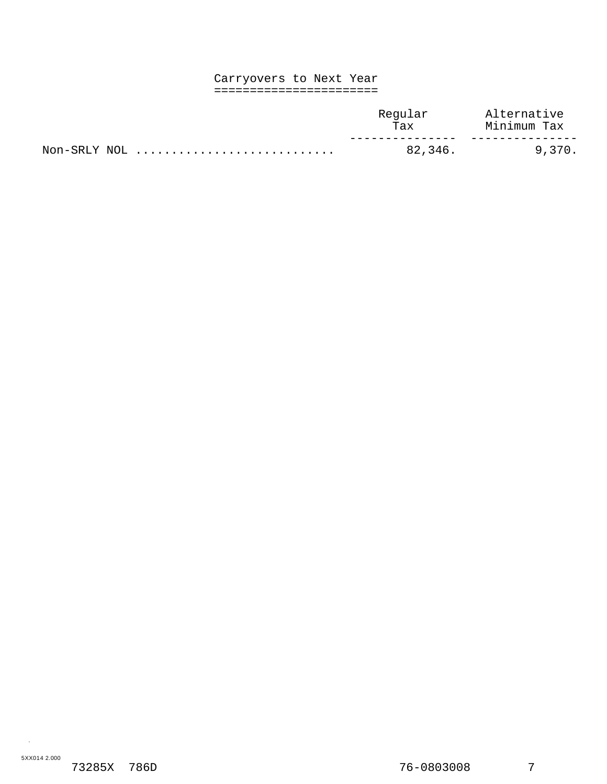#### Carryovers to Next Year =======================

|              | Reqular<br>Tax | Alternative<br>Minimum Tax |
|--------------|----------------|----------------------------|
| Non-SRLY NOL | 82.346.        | 9.370.                     |

.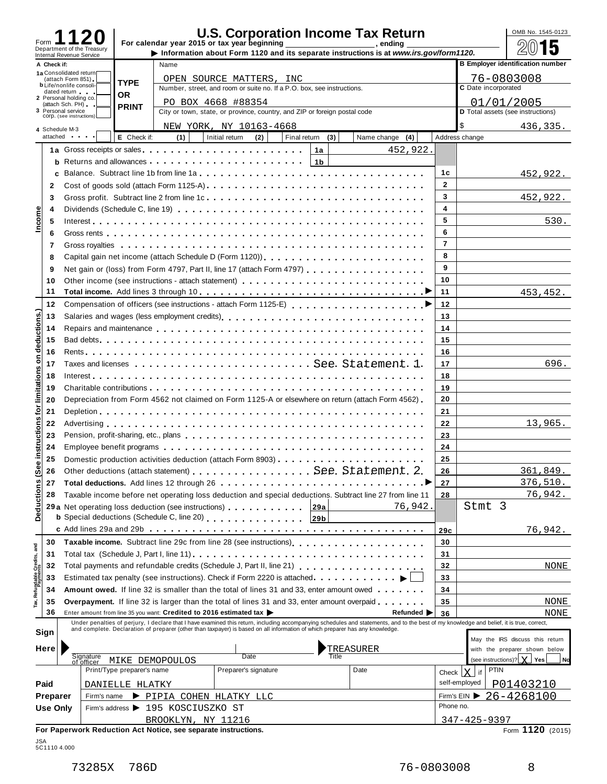| Form        |                                                |                            |                            |                                                                | <b>U.S. Corporation Income Tax Return</b><br>For calendar year 2015 or tax year beginning                                                                                                                                      |                  |                                                                                                                                                                                                                                   |                |                               | OMB No. 1545-0123                       |
|-------------|------------------------------------------------|----------------------------|----------------------------|----------------------------------------------------------------|--------------------------------------------------------------------------------------------------------------------------------------------------------------------------------------------------------------------------------|------------------|-----------------------------------------------------------------------------------------------------------------------------------------------------------------------------------------------------------------------------------|----------------|-------------------------------|-----------------------------------------|
|             | Internal Revenue Service                       | Department of the Treasury |                            |                                                                |                                                                                                                                                                                                                                |                  | Information about Form 1120 and its separate instructions is at www.irs.gov/form1120.                                                                                                                                             |                |                               | 5                                       |
| A Check if: |                                                |                            |                            | Name                                                           |                                                                                                                                                                                                                                |                  |                                                                                                                                                                                                                                   |                |                               | <b>B Employer identification number</b> |
|             | 1a Consolidated return<br>(attach Form 851)    |                            | <b>TYPE</b>                |                                                                | OPEN SOURCE MATTERS, INC                                                                                                                                                                                                       |                  |                                                                                                                                                                                                                                   |                |                               | 76-0803008                              |
|             | <b>b</b> Life/nonlife consoli-<br>dated return |                            | <b>OR</b>                  |                                                                | Number, street, and room or suite no. If a P.O. box, see instructions.                                                                                                                                                         |                  |                                                                                                                                                                                                                                   |                | C Date incorporated           |                                         |
|             | 2 Personal holding co.<br>(attach Sch. PH)     |                            | <b>PRINT</b>               |                                                                |                                                                                                                                                                                                                                |                  | 01/01/2005                                                                                                                                                                                                                        |                |                               |                                         |
|             | 3 Personal service<br>COrp. (see instructions) |                            |                            |                                                                | City or town, state, or province, country, and ZIP or foreign postal code                                                                                                                                                      |                  |                                                                                                                                                                                                                                   |                |                               | D Total assets (see instructions)       |
|             | 4 Schedule M-3                                 |                            |                            |                                                                | NEW YORK, NY 10163-4668                                                                                                                                                                                                        |                  |                                                                                                                                                                                                                                   |                | \$                            | 436,335.                                |
|             | attached and the state                         |                            | E Check if:                | (1)                                                            | Initial return<br>(2)                                                                                                                                                                                                          | Final return (3) | Name change (4)                                                                                                                                                                                                                   |                | Address change                |                                         |
|             |                                                |                            |                            |                                                                | 1a Gross receipts or sales entering reserves to reserve the contract of the Cross receipts or sales                                                                                                                            | 1a               | 452,922.                                                                                                                                                                                                                          |                |                               |                                         |
|             | b                                              |                            |                            |                                                                |                                                                                                                                                                                                                                | 1 <sub>b</sub>   |                                                                                                                                                                                                                                   |                |                               |                                         |
|             | c                                              |                            |                            |                                                                |                                                                                                                                                                                                                                |                  |                                                                                                                                                                                                                                   | 1c             |                               | 452,922.                                |
| 2           |                                                |                            |                            |                                                                |                                                                                                                                                                                                                                |                  |                                                                                                                                                                                                                                   | $\mathbf{2}$   |                               |                                         |
| 3           |                                                |                            |                            |                                                                |                                                                                                                                                                                                                                |                  |                                                                                                                                                                                                                                   | 3              |                               | 452,922.                                |
| Income<br>4 |                                                |                            |                            |                                                                |                                                                                                                                                                                                                                |                  |                                                                                                                                                                                                                                   | 4              |                               |                                         |
| 5           |                                                |                            |                            |                                                                |                                                                                                                                                                                                                                |                  |                                                                                                                                                                                                                                   | 5              |                               | 530.                                    |
|             |                                                |                            |                            |                                                                |                                                                                                                                                                                                                                |                  |                                                                                                                                                                                                                                   | 6              |                               |                                         |
| 6           |                                                |                            |                            |                                                                |                                                                                                                                                                                                                                |                  |                                                                                                                                                                                                                                   | $\overline{7}$ |                               |                                         |
| 7           |                                                |                            |                            |                                                                |                                                                                                                                                                                                                                |                  |                                                                                                                                                                                                                                   | 8              |                               |                                         |
| 8           |                                                |                            |                            |                                                                |                                                                                                                                                                                                                                |                  |                                                                                                                                                                                                                                   | 9              |                               |                                         |
| 9           |                                                |                            |                            |                                                                | Net gain or (loss) from Form 4797, Part II, line 17 (attach Form 4797)                                                                                                                                                         |                  |                                                                                                                                                                                                                                   |                |                               |                                         |
| 10          |                                                |                            |                            |                                                                |                                                                                                                                                                                                                                |                  |                                                                                                                                                                                                                                   | 10             |                               |                                         |
| 11          |                                                |                            |                            |                                                                |                                                                                                                                                                                                                                |                  |                                                                                                                                                                                                                                   | 11             |                               | 453, 452.                               |
| 12          |                                                |                            |                            |                                                                |                                                                                                                                                                                                                                |                  |                                                                                                                                                                                                                                   | 12             |                               |                                         |
| 13          |                                                |                            |                            |                                                                |                                                                                                                                                                                                                                |                  |                                                                                                                                                                                                                                   | 13             |                               |                                         |
| 14          |                                                |                            |                            |                                                                | Repairs and maintenance enterpreteration of the contract of the contract of the contract of the contract of the contract of the contract of the contract of the contract of the contract of the contract of the contract of th |                  |                                                                                                                                                                                                                                   | 14             |                               |                                         |
| 15          |                                                |                            |                            |                                                                |                                                                                                                                                                                                                                |                  |                                                                                                                                                                                                                                   | 15             |                               |                                         |
| 16          |                                                |                            |                            |                                                                |                                                                                                                                                                                                                                |                  |                                                                                                                                                                                                                                   | 16             |                               |                                         |
| 17          |                                                |                            |                            |                                                                |                                                                                                                                                                                                                                |                  |                                                                                                                                                                                                                                   | 17             |                               | 696.                                    |
| 18          |                                                |                            |                            |                                                                |                                                                                                                                                                                                                                |                  |                                                                                                                                                                                                                                   | 18             |                               |                                         |
| 19          |                                                |                            |                            |                                                                |                                                                                                                                                                                                                                |                  |                                                                                                                                                                                                                                   | 19             |                               |                                         |
| 20          |                                                |                            |                            |                                                                | Depreciation from Form 4562 not claimed on Form 1125-A or elsewhere on return (attach Form 4562)                                                                                                                               |                  |                                                                                                                                                                                                                                   | 20             |                               |                                         |
| 21          |                                                |                            |                            |                                                                |                                                                                                                                                                                                                                |                  |                                                                                                                                                                                                                                   | 21             |                               |                                         |
| 22          |                                                |                            |                            |                                                                |                                                                                                                                                                                                                                |                  |                                                                                                                                                                                                                                   | 22             |                               | 13,965.                                 |
| 23          |                                                |                            |                            |                                                                |                                                                                                                                                                                                                                |                  |                                                                                                                                                                                                                                   | 23             |                               |                                         |
| 24          |                                                |                            |                            |                                                                |                                                                                                                                                                                                                                |                  |                                                                                                                                                                                                                                   | 24             |                               |                                         |
| 25          |                                                |                            |                            |                                                                | Domestic production activities deduction (attach Form 8903)                                                                                                                                                                    |                  |                                                                                                                                                                                                                                   | 25             |                               |                                         |
| 26          |                                                |                            |                            |                                                                | Other deductions (attach statement) See. Statement. 2.                                                                                                                                                                         |                  |                                                                                                                                                                                                                                   | 26             |                               | 361,849.                                |
| 27          |                                                |                            |                            |                                                                |                                                                                                                                                                                                                                |                  |                                                                                                                                                                                                                                   | 27             |                               | 376, 510.                               |
| 28          |                                                |                            |                            |                                                                | Taxable income before net operating loss deduction and special deductions. Subtract line 27 from line 11                                                                                                                       |                  |                                                                                                                                                                                                                                   | 28             |                               | 76,942.                                 |
|             |                                                |                            |                            |                                                                | 29 a Net operating loss deduction (see instructions) 29 a Net operating loss deduction (see instructions)                                                                                                                      |                  | 76,942.                                                                                                                                                                                                                           |                | Stmt 3                        |                                         |
|             |                                                |                            |                            |                                                                | <b>b</b> Special deductions (Schedule C, line 20)                                                                                                                                                                              | 29b              |                                                                                                                                                                                                                                   |                |                               |                                         |
|             |                                                |                            |                            |                                                                |                                                                                                                                                                                                                                |                  |                                                                                                                                                                                                                                   |                |                               |                                         |
|             |                                                |                            |                            |                                                                |                                                                                                                                                                                                                                |                  |                                                                                                                                                                                                                                   | 29c            |                               | 76,942.                                 |
| 30          |                                                |                            |                            |                                                                | Taxable income. Subtract line 29c from line 28 (see instructions),                                                                                                                                                             |                  |                                                                                                                                                                                                                                   | 30             |                               |                                         |
| 31          |                                                |                            |                            |                                                                |                                                                                                                                                                                                                                |                  |                                                                                                                                                                                                                                   | 31             |                               |                                         |
| 32          |                                                |                            |                            |                                                                |                                                                                                                                                                                                                                |                  |                                                                                                                                                                                                                                   | 32             |                               | NONE                                    |
| 33          |                                                |                            |                            |                                                                | Estimated tax penalty (see instructions). Check if Form 2220 is attached. $\ldots$ ,                                                                                                                                           |                  |                                                                                                                                                                                                                                   | 33             |                               |                                         |
| 34          |                                                |                            |                            |                                                                | Amount owed. If line 32 is smaller than the total of lines 31 and 33, enter amount owed                                                                                                                                        |                  |                                                                                                                                                                                                                                   | 34             |                               |                                         |
| 35          |                                                |                            |                            |                                                                | <b>Overpayment.</b> If line 32 is larger than the total of lines 31 and 33, enter amount overpaid                                                                                                                              |                  |                                                                                                                                                                                                                                   | 35             |                               | NONE                                    |
| 36          |                                                |                            |                            |                                                                | Enter amount from line 35 you want: Credited to 2016 estimated tax                                                                                                                                                             |                  | Refunded $\blacktriangleright$                                                                                                                                                                                                    | 36             |                               | NONE                                    |
| Sign        |                                                |                            |                            |                                                                |                                                                                                                                                                                                                                |                  | Under penalties of perjury, I declare that I have examined this return, including accompanying schedules and statements, and to the best of my knowledge and belief, it is true, correct,<br>and complete. Declaration of prepare |                |                               |                                         |
|             |                                                |                            |                            |                                                                |                                                                                                                                                                                                                                |                  |                                                                                                                                                                                                                                   |                |                               | May the IRS discuss this return         |
| Here        |                                                |                            |                            |                                                                |                                                                                                                                                                                                                                |                  | TREASURER                                                                                                                                                                                                                         |                |                               | with the preparer shown below           |
|             |                                                | Signature<br>of officer    |                            | MIKE DEMOPOULOS                                                | Date                                                                                                                                                                                                                           | Title            |                                                                                                                                                                                                                                   |                |                               | (see instructions)? $\chi$ Yes<br>Nd    |
|             |                                                |                            | Print/Type preparer's name |                                                                | Preparer's signature                                                                                                                                                                                                           |                  | Date                                                                                                                                                                                                                              |                | <b>PTIN</b><br>Check $ X $ if |                                         |
| Paid        |                                                |                            | DANIELLE HLATKY            |                                                                |                                                                                                                                                                                                                                |                  |                                                                                                                                                                                                                                   |                | self-employed                 | P01403210                               |
|             | Preparer                                       | Firm's name                |                            |                                                                | PIPIA COHEN HLATKY LLC                                                                                                                                                                                                         |                  |                                                                                                                                                                                                                                   |                |                               | Firm's EIN $\triangleright$ 26-4268100  |
|             | <b>Use Only</b>                                |                            |                            | Firm's address ▶ 195 KOSCIUSZKO ST                             |                                                                                                                                                                                                                                |                  |                                                                                                                                                                                                                                   | Phone no.      |                               |                                         |
|             |                                                |                            |                            | BROOKLYN, NY 11216                                             |                                                                                                                                                                                                                                |                  |                                                                                                                                                                                                                                   |                | 347-425-9397                  |                                         |
|             |                                                |                            |                            | For Paperwork Reduction Act Notice, see separate instructions. |                                                                                                                                                                                                                                |                  |                                                                                                                                                                                                                                   |                |                               | Form 1120 (2015)                        |

| JSA         |  |
|-------------|--|
| 5C11104.000 |  |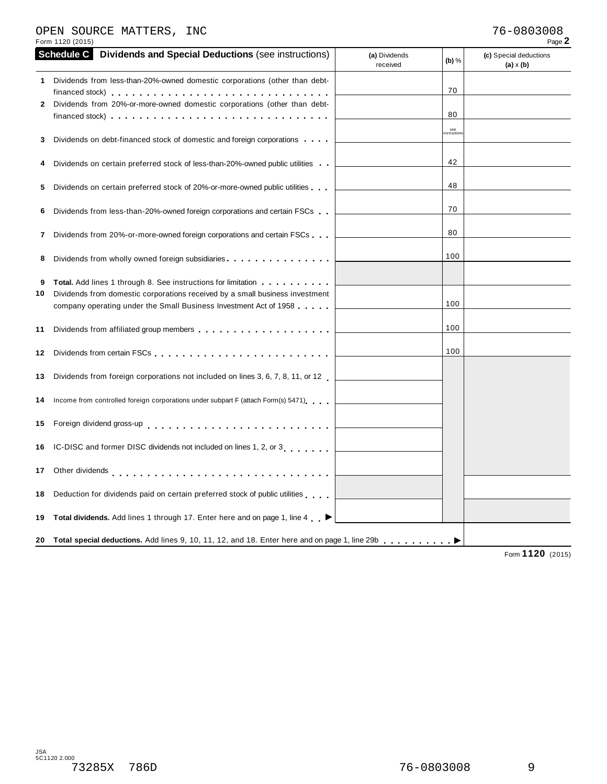## OPEN SOURCE MATTERS, INC 76-0803008

| Form 1120 (2015)                                                                                                                                                                                             |                           |                   | Page 2                                     |
|--------------------------------------------------------------------------------------------------------------------------------------------------------------------------------------------------------------|---------------------------|-------------------|--------------------------------------------|
| <b>Schedule C</b><br><b>Dividends and Special Deductions (see instructions)</b>                                                                                                                              | (a) Dividends<br>received | $(b)$ %           | (c) Special deductions<br>$(a) \times (b)$ |
| Dividends from less-than-20%-owned domestic corporations (other than debt-                                                                                                                                   |                           |                   |                                            |
| financed stock) $\ldots$ , $\ldots$ , $\ldots$ , $\ldots$ , $\ldots$ , $\ldots$ , $\ldots$ , $\ldots$ , $\ldots$ , $\ldots$<br>Dividends from 20%-or-more-owned domestic corporations (other than debt-<br>2 |                           | 70                |                                            |
|                                                                                                                                                                                                              |                           | 80                |                                            |
| Dividends on debt-financed stock of domestic and foreign corporations                                                                                                                                        |                           | see<br>nstruction |                                            |
| Dividends on certain preferred stock of less-than-20%-owned public utilities                                                                                                                                 |                           | 42                |                                            |
| Dividends on certain preferred stock of 20%-or-more-owned public utilities                                                                                                                                   |                           | 48                |                                            |
| Dividends from less-than-20%-owned foreign corporations and certain FSCs                                                                                                                                     |                           | 70                |                                            |
| Dividends from 20%-or-more-owned foreign corporations and certain FSCs<br>7                                                                                                                                  |                           | 80                |                                            |
| Dividends from wholly owned foreign subsidiaries                                                                                                                                                             |                           | 100               |                                            |
| <b>Total.</b> Add lines 1 through 8. See instructions for limitation<br>Dividends from domestic corporations received by a small business investment                                                         |                           | 100               |                                            |
| company operating under the Small Business Investment Act of 1958                                                                                                                                            |                           |                   |                                            |
|                                                                                                                                                                                                              |                           | 100               |                                            |
| Dividends from certain FSCs                                                                                                                                                                                  |                           | 100               |                                            |
| Dividends from foreign corporations not included on lines 3, 6, 7, 8, 11, or 12                                                                                                                              |                           |                   |                                            |
| Income from controlled foreign corporations under subpart F (attach Form(s) 5471)                                                                                                                            |                           |                   |                                            |
| Foreign dividend gross-up enterprise research and contact the set of the set of the set of the set of the set o                                                                                              |                           |                   |                                            |
| IC-DISC and former DISC dividends not included on lines 1, 2, or 3                                                                                                                                           |                           |                   |                                            |
|                                                                                                                                                                                                              |                           |                   |                                            |
| Deduction for dividends paid on certain preferred stock of public utilities                                                                                                                                  |                           |                   |                                            |
| Total dividends. Add lines 1 through 17. Enter here and on page 1, line 4 ▶                                                                                                                                  |                           |                   |                                            |
| Total special deductions. Add lines 9, 10, 11, 12, and 18. Enter here and on page 1, line 29b<br>20                                                                                                          |                           |                   |                                            |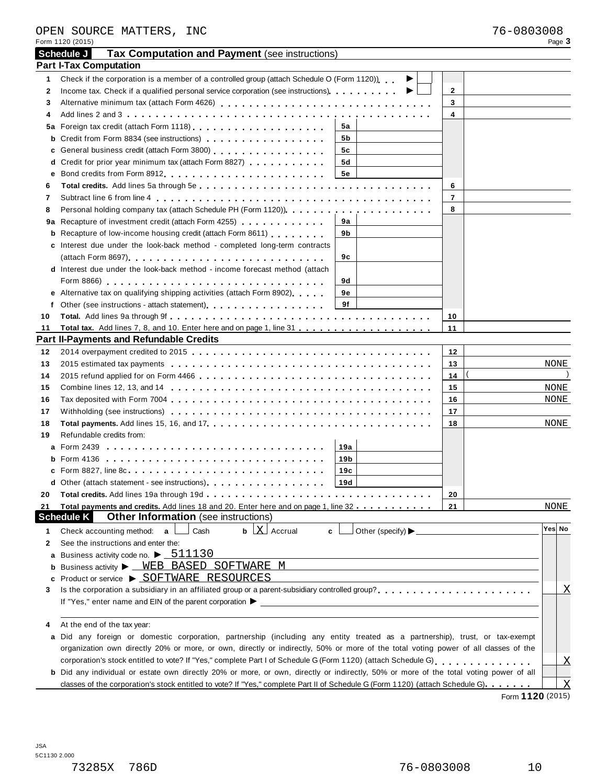|    | OPEN SOURCE MATTERS, INC<br>Form 1120 (2015)                                                                                                                                                                                  |     |                                          |                         | 76-0803008 | Page 3 |                         |
|----|-------------------------------------------------------------------------------------------------------------------------------------------------------------------------------------------------------------------------------|-----|------------------------------------------|-------------------------|------------|--------|-------------------------|
|    | Tax Computation and Payment (see instructions)<br>Schedule J                                                                                                                                                                  |     |                                          |                         |            |        |                         |
|    | <b>Part I-Tax Computation</b>                                                                                                                                                                                                 |     |                                          |                         |            |        |                         |
| 1  | Check if the corporation is a member of a controlled group (attach Schedule O (Form 1120)).                                                                                                                                   |     | ▶                                        |                         |            |        |                         |
| 2  |                                                                                                                                                                                                                               |     |                                          | $\mathbf{2}$            |            |        |                         |
| 3  |                                                                                                                                                                                                                               |     |                                          | 3                       |            |        |                         |
| 4  |                                                                                                                                                                                                                               |     |                                          | $\overline{\mathbf{4}}$ |            |        |                         |
|    |                                                                                                                                                                                                                               | 5a  |                                          |                         |            |        |                         |
|    | <b>b</b> Credit from Form 8834 (see instructions)                                                                                                                                                                             | 5b  |                                          |                         |            |        |                         |
|    | c General business credit (attach Form 3800)                                                                                                                                                                                  | 5c  |                                          |                         |            |        |                         |
|    | d Credit for prior year minimum tax (attach Form 8827)                                                                                                                                                                        | 5d  |                                          |                         |            |        |                         |
|    |                                                                                                                                                                                                                               | 5е  |                                          |                         |            |        |                         |
|    |                                                                                                                                                                                                                               |     |                                          |                         |            |        |                         |
| 6  |                                                                                                                                                                                                                               |     |                                          | 6                       |            |        |                         |
| 7  |                                                                                                                                                                                                                               |     |                                          | $\overline{7}$          |            |        |                         |
| 8  |                                                                                                                                                                                                                               |     |                                          | 8                       |            |        |                         |
|    | 9a Recapture of investment credit (attach Form 4255)                                                                                                                                                                          | 9а  |                                          |                         |            |        |                         |
|    | <b>b</b> Recapture of low-income housing credit (attach Form 8611)                                                                                                                                                            | 9b  |                                          |                         |            |        |                         |
|    | c Interest due under the look-back method - completed long-term contracts                                                                                                                                                     |     |                                          |                         |            |        |                         |
|    |                                                                                                                                                                                                                               | 9с  |                                          |                         |            |        |                         |
|    | <b>d</b> Interest due under the look-back method - income forecast method (attach                                                                                                                                             |     |                                          |                         |            |        |                         |
|    |                                                                                                                                                                                                                               | 9d  |                                          |                         |            |        |                         |
|    | e Alternative tax on qualifying shipping activities (attach Form 8902)                                                                                                                                                        | 9е  |                                          |                         |            |        |                         |
|    | f Other (see instructions - attach statement) extending the state of the state of the state of the state of the state of the state of the state of the state of the state of the state of the state of the state of the state | 9f  |                                          |                         |            |        |                         |
| 10 |                                                                                                                                                                                                                               |     |                                          | 10                      |            |        |                         |
| 11 |                                                                                                                                                                                                                               |     |                                          | 11                      |            |        |                         |
|    | <b>Part II-Payments and Refundable Credits</b>                                                                                                                                                                                |     |                                          |                         |            |        |                         |
| 12 |                                                                                                                                                                                                                               |     |                                          | 12                      |            |        |                         |
| 13 |                                                                                                                                                                                                                               |     |                                          | 13                      |            | NONE   |                         |
| 14 |                                                                                                                                                                                                                               |     |                                          | 14                      |            |        |                         |
| 15 |                                                                                                                                                                                                                               |     |                                          | 15                      |            | NONE   |                         |
| 16 |                                                                                                                                                                                                                               |     |                                          | 16                      |            | NONE   |                         |
| 17 |                                                                                                                                                                                                                               |     |                                          | 17                      |            |        |                         |
| 18 |                                                                                                                                                                                                                               |     |                                          | 18                      |            | NONE   |                         |
| 19 | Refundable credits from:                                                                                                                                                                                                      |     |                                          |                         |            |        |                         |
|    | <b>a</b> Form 2439                                                                                                                                                                                                            | 19a |                                          |                         |            |        |                         |
|    | b Form 4136                                                                                                                                                                                                                   | 19b |                                          |                         |            |        |                         |
|    | c Form 8827, line 8c                                                                                                                                                                                                          | 19с |                                          |                         |            |        |                         |
|    | d Other (attach statement - see instructions) enteriated result and result and the other and other                                                                                                                            | 19d |                                          |                         |            |        |                         |
| 20 |                                                                                                                                                                                                                               |     |                                          | 20                      |            |        |                         |
| 21 | Total payments and credits. Add lines 18 and 20. Enter here and on page 1, line 32                                                                                                                                            |     |                                          | 21                      |            | NONE   |                         |
|    | <b>Other Information</b> (see instructions)<br><b>Schedule K</b>                                                                                                                                                              |     |                                          |                         |            |        |                         |
| 1  | $\mathbf{b}$ $\lfloor \mathbf{X} \rfloor$ Accrual<br>Cash<br>Check accounting method:<br>$\mathbf{a}$<br>c                                                                                                                    |     | Other (specify) $\blacktriangleright$ __ |                         |            | Yes No |                         |
| 2  | See the instructions and enter the:                                                                                                                                                                                           |     |                                          |                         |            |        |                         |
|    | a Business activity code no. $\blacktriangleright$ 511130                                                                                                                                                                     |     |                                          |                         |            |        |                         |
|    | <b>b</b> Business activity $\triangleright$ <u>WEB BASED SOFTWARE M</u>                                                                                                                                                       |     |                                          |                         |            |        |                         |
|    | Product or service ▶ SOFTWARE RESOURCES                                                                                                                                                                                       |     |                                          |                         |            |        |                         |
| c  |                                                                                                                                                                                                                               |     |                                          |                         |            |        |                         |
| 3  |                                                                                                                                                                                                                               |     |                                          |                         |            |        | $\mathbf X$             |
|    |                                                                                                                                                                                                                               |     |                                          |                         |            |        |                         |
|    |                                                                                                                                                                                                                               |     |                                          |                         |            |        |                         |
|    | At the end of the tax year:                                                                                                                                                                                                   |     |                                          |                         |            |        |                         |
|    | a Did any foreign or domestic corporation, partnership (including any entity treated as a partnership), trust, or tax-exempt                                                                                                  |     |                                          |                         |            |        |                         |
|    | organization own directly 20% or more, or own, directly or indirectly, 50% or more of the total voting power of all classes of the                                                                                            |     |                                          |                         |            |        |                         |
|    |                                                                                                                                                                                                                               |     |                                          |                         |            |        | X                       |
|    | b Did any individual or estate own directly 20% or more, or own, directly or indirectly, 50% or more of the total voting power of all                                                                                         |     |                                          |                         |            |        |                         |
|    | classes of the corporation's stock entitled to vote? If "Yes," complete Part II of Schedule G (Form 1120) (attach Schedule G).                                                                                                |     |                                          |                         |            |        | $\overline{\mathrm{X}}$ |

Form **1120** (2015)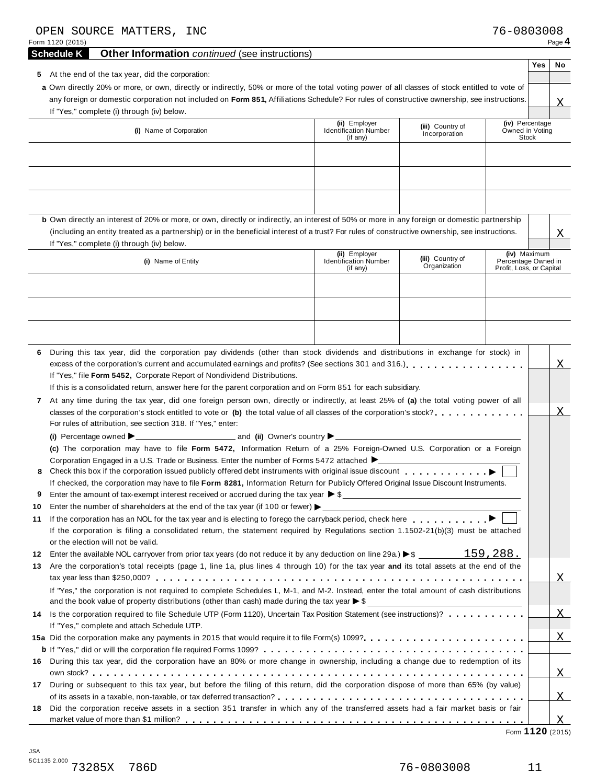| OPEN SOURCE MATTERS, INC<br>Form 1120 (2015)                                                                                                                                                                                                                                                                                                                                                                                                                    |                                                           |                                   | 76-0803008                                                      | Page 4         |
|-----------------------------------------------------------------------------------------------------------------------------------------------------------------------------------------------------------------------------------------------------------------------------------------------------------------------------------------------------------------------------------------------------------------------------------------------------------------|-----------------------------------------------------------|-----------------------------------|-----------------------------------------------------------------|----------------|
| <b>Schedule K</b><br><b>Other Information</b> continued (see instructions)                                                                                                                                                                                                                                                                                                                                                                                      |                                                           |                                   |                                                                 |                |
| At the end of the tax year, did the corporation:<br>5<br>a Own directly 20% or more, or own, directly or indirectly, 50% or more of the total voting power of all classes of stock entitled to vote of<br>any foreign or domestic corporation not included on Form 851, Affiliations Schedule? For rules of constructive ownership, see instructions.<br>If "Yes," complete (i) through (iv) below.                                                             |                                                           |                                   |                                                                 | Yes<br>No<br>X |
| (i) Name of Corporation                                                                                                                                                                                                                                                                                                                                                                                                                                         | (ii) Employer<br><b>Identification Number</b><br>(if any) | (iii) Country of<br>Incorporation | (iv) Percentage<br>Owned in Voting<br>Stock                     |                |
|                                                                                                                                                                                                                                                                                                                                                                                                                                                                 |                                                           |                                   |                                                                 |                |
| b Own directly an interest of 20% or more, or own, directly or indirectly, an interest of 50% or more in any foreign or domestic partnership<br>(including an entity treated as a partnership) or in the beneficial interest of a trust? For rules of constructive ownership, see instructions.<br>If "Yes," complete (i) through (iv) below.                                                                                                                   |                                                           |                                   |                                                                 | Χ              |
| (i) Name of Entity                                                                                                                                                                                                                                                                                                                                                                                                                                              | (ii) Employer<br><b>Identification Number</b><br>(if any) | (iii) Country of<br>Organization  | (iv) Maximum<br>Percentage Owned in<br>Profit, Loss, or Capital |                |
|                                                                                                                                                                                                                                                                                                                                                                                                                                                                 |                                                           |                                   |                                                                 |                |
|                                                                                                                                                                                                                                                                                                                                                                                                                                                                 |                                                           |                                   |                                                                 |                |
| During this tax year, did the corporation pay dividends (other than stock dividends and distributions in exchange for stock) in<br>6.<br>excess of the corporation's current and accumulated earnings and profits? (See sections 301 and 316.)<br>If "Yes," file Form 5452, Corporate Report of Nondividend Distributions.                                                                                                                                      |                                                           |                                   |                                                                 | X.             |
| If this is a consolidated return, answer here for the parent corporation and on Form 851 for each subsidiary.<br>At any time during the tax year, did one foreign person own, directly or indirectly, at least 25% of (a) the total voting power of all<br>$\mathbf{7}$<br>classes of the corporation's stock entitled to vote or (b) the total value of all classes of the corporation's stock?<br>For rules of attribution, see section 318. If "Yes," enter: |                                                           |                                   |                                                                 | Х.             |
| (c) The corporation may have to file Form 5472, Information Return of a 25% Foreign-Owned U.S. Corporation or a Foreign                                                                                                                                                                                                                                                                                                                                         |                                                           |                                   |                                                                 |                |
| Corporation Engaged in a U.S. Trade or Business. Enter the number of Forms 5472 attached $\blacktriangleright$<br>8<br>If checked, the corporation may have to file Form 8281, Information Return for Publicly Offered Original Issue Discount Instruments.                                                                                                                                                                                                     |                                                           |                                   |                                                                 |                |
| Enter the amount of tax-exempt interest received or accrued during the tax year $\triangleright$ \$<br>9                                                                                                                                                                                                                                                                                                                                                        |                                                           |                                   |                                                                 |                |
| Enter the number of shareholders at the end of the tax year (if 100 or fewer) $\blacktriangleright$<br>10                                                                                                                                                                                                                                                                                                                                                       |                                                           |                                   |                                                                 |                |
| 11<br>If the corporation is filing a consolidated return, the statement required by Regulations section 1.1502-21(b)(3) must be attached<br>or the election will not be valid.                                                                                                                                                                                                                                                                                  |                                                           |                                   |                                                                 |                |
| Enter the available NOL carryover from prior tax years (do not reduce it by any deduction on line 29a.) $\blacktriangleright$ \$ 159, 288.<br>12                                                                                                                                                                                                                                                                                                                |                                                           |                                   |                                                                 |                |
| Are the corporation's total receipts (page 1, line 1a, plus lines 4 through 10) for the tax year and its total assets at the end of the<br>13                                                                                                                                                                                                                                                                                                                   |                                                           |                                   |                                                                 |                |
|                                                                                                                                                                                                                                                                                                                                                                                                                                                                 |                                                           |                                   |                                                                 | $X_{-}$        |
| If "Yes," the corporation is not required to complete Schedules L, M-1, and M-2. Instead, enter the total amount of cash distributions<br>and the book value of property distributions (other than cash) made during the tax year $\triangleright$ \$                                                                                                                                                                                                           |                                                           |                                   |                                                                 |                |
| 14 Is the corporation required to file Schedule UTP (Form 1120), Uncertain Tax Position Statement (see instructions)?<br>If "Yes," complete and attach Schedule UTP.                                                                                                                                                                                                                                                                                            |                                                           |                                   |                                                                 | $\mathbf{X}$   |
|                                                                                                                                                                                                                                                                                                                                                                                                                                                                 |                                                           |                                   |                                                                 | X              |
|                                                                                                                                                                                                                                                                                                                                                                                                                                                                 |                                                           |                                   |                                                                 |                |
| During this tax year, did the corporation have an 80% or more change in ownership, including a change due to redemption of its<br>16                                                                                                                                                                                                                                                                                                                            |                                                           |                                   |                                                                 | <b>X</b>       |
| 17 During or subsequent to this tax year, but before the filing of this return, did the corporation dispose of more than 65% (by value)                                                                                                                                                                                                                                                                                                                         |                                                           |                                   |                                                                 | <b>X</b>       |
| Did the corporation receive assets in a section 351 transfer in which any of the transferred assets had a fair market basis or fair<br>18                                                                                                                                                                                                                                                                                                                       |                                                           |                                   |                                                                 | X              |

Form **1120** (2015)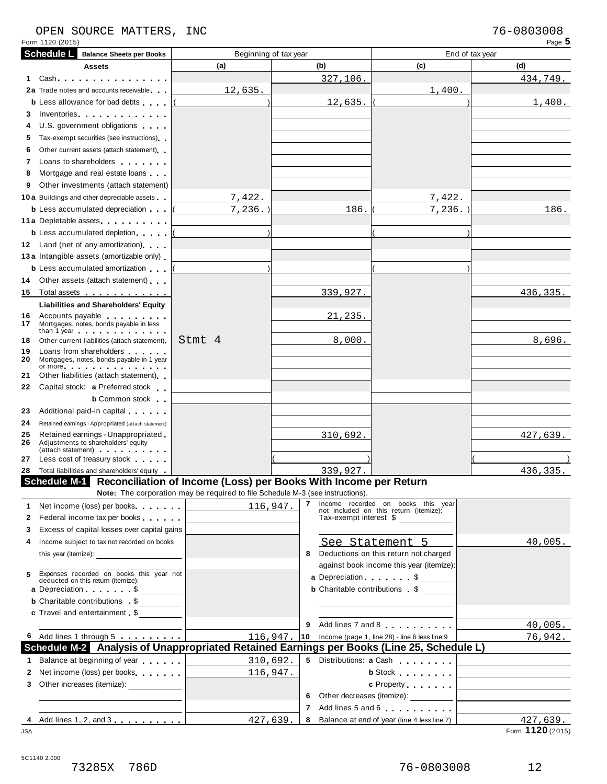# OPEN SOURCE MATTERS, INC<br>
Form 1120 (2015) Page 5

| Form 1120 (2015)  |                                                                                                                                                                                                                                     |                                                                                       |                        |                                                                                           | Page 5                                                                     |  |  |  |  |
|-------------------|-------------------------------------------------------------------------------------------------------------------------------------------------------------------------------------------------------------------------------------|---------------------------------------------------------------------------------------|------------------------|-------------------------------------------------------------------------------------------|----------------------------------------------------------------------------|--|--|--|--|
| <b>Schedule L</b> | <b>Balance Sheets per Books</b>                                                                                                                                                                                                     |                                                                                       | Beginning of tax year  | End of tax year                                                                           |                                                                            |  |  |  |  |
|                   | <b>Assets</b>                                                                                                                                                                                                                       | (a)                                                                                   | (b)                    | (c)                                                                                       | (d)                                                                        |  |  |  |  |
| 1.                | Cash.                                                                                                                                                                                                                               |                                                                                       | 327,106.               |                                                                                           | 434,749.                                                                   |  |  |  |  |
|                   | 2a Trade notes and accounts receivable                                                                                                                                                                                              | 12,635.                                                                               |                        | 1,400.                                                                                    |                                                                            |  |  |  |  |
|                   | <b>b</b> Less allowance for bad debts                                                                                                                                                                                               |                                                                                       | 12,635.                |                                                                                           | 1,400.                                                                     |  |  |  |  |
| 3.                | Inventories <b>All Accounts</b> in the set of the set of the set of the set of the set of the set of the set of the set of the set of the set of the set of the set of the set of the set of the set of the set of the set of the s |                                                                                       |                        |                                                                                           |                                                                            |  |  |  |  |
| 4                 | U.S. government obligations                                                                                                                                                                                                         |                                                                                       |                        |                                                                                           |                                                                            |  |  |  |  |
| 5.                | Tax-exempt securities (see instructions)                                                                                                                                                                                            |                                                                                       |                        |                                                                                           |                                                                            |  |  |  |  |
| 6                 | Other current assets (attach statement)                                                                                                                                                                                             |                                                                                       |                        |                                                                                           |                                                                            |  |  |  |  |
| 7                 | Loans to shareholders <b>Exercise 20</b>                                                                                                                                                                                            |                                                                                       |                        |                                                                                           |                                                                            |  |  |  |  |
| 8                 | Mortgage and real estate loans                                                                                                                                                                                                      |                                                                                       |                        |                                                                                           |                                                                            |  |  |  |  |
| 9                 | Other investments (attach statement)                                                                                                                                                                                                |                                                                                       |                        |                                                                                           |                                                                            |  |  |  |  |
|                   | <b>10a</b> Buildings and other depreciable assets                                                                                                                                                                                   | 7,422.                                                                                |                        | 7,422.                                                                                    |                                                                            |  |  |  |  |
|                   | <b>b</b> Less accumulated depreciation                                                                                                                                                                                              | 7, 236.                                                                               | 186.                   | $7,236.$ )                                                                                | 186.                                                                       |  |  |  |  |
|                   | 11 a Depletable assets                                                                                                                                                                                                              |                                                                                       |                        |                                                                                           |                                                                            |  |  |  |  |
|                   | <b>b</b> Less accumulated depletion                                                                                                                                                                                                 |                                                                                       |                        |                                                                                           |                                                                            |  |  |  |  |
|                   | 12 Land (net of any amortization)                                                                                                                                                                                                   |                                                                                       |                        |                                                                                           |                                                                            |  |  |  |  |
|                   | 13 a Intangible assets (amortizable only)                                                                                                                                                                                           |                                                                                       |                        |                                                                                           |                                                                            |  |  |  |  |
|                   | <b>b</b> Less accumulated amortization                                                                                                                                                                                              |                                                                                       |                        |                                                                                           |                                                                            |  |  |  |  |
| 14                | Other assets (attach statement)                                                                                                                                                                                                     |                                                                                       |                        |                                                                                           |                                                                            |  |  |  |  |
| 15                | Total assets                                                                                                                                                                                                                        |                                                                                       | 339,927.               |                                                                                           | 436,335.                                                                   |  |  |  |  |
|                   | <b>Liabilities and Shareholders' Equity</b>                                                                                                                                                                                         |                                                                                       |                        |                                                                                           |                                                                            |  |  |  |  |
|                   | 16 Accounts payable <b>Accounts</b> payable                                                                                                                                                                                         |                                                                                       | 21,235.                |                                                                                           |                                                                            |  |  |  |  |
| 17                | Mortgages, notes, bonds payable in less<br>than 1 year entitled to the state of the state of the state of the state of the state of the state of the state                                                                          |                                                                                       |                        |                                                                                           |                                                                            |  |  |  |  |
| 18                | Other current liabilities (attach statement)                                                                                                                                                                                        | Stmt 4                                                                                | 8,000.                 |                                                                                           | 8,696.                                                                     |  |  |  |  |
| 19                | Loans from shareholders                                                                                                                                                                                                             |                                                                                       |                        |                                                                                           |                                                                            |  |  |  |  |
| 20                | Mortgages, notes, bonds payable in 1 year<br>or more $\cdots$ $\cdots$ $\cdots$ $\cdots$ $\cdots$                                                                                                                                   |                                                                                       |                        |                                                                                           |                                                                            |  |  |  |  |
| 21                | Other liabilities (attach statement)                                                                                                                                                                                                |                                                                                       |                        |                                                                                           |                                                                            |  |  |  |  |
| 22                | Capital stock: a Preferred stock                                                                                                                                                                                                    |                                                                                       |                        |                                                                                           |                                                                            |  |  |  |  |
|                   | <b>b</b> Common stock                                                                                                                                                                                                               |                                                                                       |                        |                                                                                           |                                                                            |  |  |  |  |
| 23                | Additional paid-in capital exercises                                                                                                                                                                                                |                                                                                       |                        |                                                                                           |                                                                            |  |  |  |  |
| 24                | Retained earnings - Appropriated (attach statement)                                                                                                                                                                                 |                                                                                       |                        |                                                                                           |                                                                            |  |  |  |  |
| 25                | Retained earnings - Unappropriated                                                                                                                                                                                                  |                                                                                       | 310,692.               |                                                                                           | 427,639.                                                                   |  |  |  |  |
| 26                | Adjustments to shareholders' equity<br>(attach statement) expansion and the statement                                                                                                                                               |                                                                                       |                        |                                                                                           |                                                                            |  |  |  |  |
| 27                | Less cost of treasury stock                                                                                                                                                                                                         |                                                                                       |                        |                                                                                           |                                                                            |  |  |  |  |
|                   | 28 Total liabilities and shareholders' equity                                                                                                                                                                                       |                                                                                       | 339,927.               |                                                                                           | 436,335.                                                                   |  |  |  |  |
|                   |                                                                                                                                                                                                                                     | Schedule M-1 Reconciliation of Income (Loss) per Books With Income per Return         |                        |                                                                                           |                                                                            |  |  |  |  |
|                   |                                                                                                                                                                                                                                     | <b>Note:</b> The corporation may be required to file Schedule M-3 (see instructions). |                        |                                                                                           |                                                                            |  |  |  |  |
| 1.                | Net income (loss) per books                                                                                                                                                                                                         | 116,947.                                                                              | $\mathbf{7}$           | Income recorded on books this year<br>not included on this return (itemize):              |                                                                            |  |  |  |  |
| 2                 | Federal income tax per books                                                                                                                                                                                                        |                                                                                       | Tax-exempt interest \$ |                                                                                           |                                                                            |  |  |  |  |
| 3                 | Excess of capital losses over capital gains                                                                                                                                                                                         |                                                                                       |                        |                                                                                           |                                                                            |  |  |  |  |
| 4                 | Income subject to tax not recorded on books                                                                                                                                                                                         |                                                                                       |                        | See Statement 5                                                                           | 40,005.                                                                    |  |  |  |  |
|                   |                                                                                                                                                                                                                                     |                                                                                       | 8                      | Deductions on this return not charged                                                     |                                                                            |  |  |  |  |
|                   |                                                                                                                                                                                                                                     |                                                                                       |                        | against book income this year (itemize):                                                  |                                                                            |  |  |  |  |
| 5                 | Expenses recorded on books this year not deducted on this return (itemize):                                                                                                                                                         |                                                                                       |                        | a Depreciation. \$                                                                        |                                                                            |  |  |  |  |
|                   | a Depreciation \$                                                                                                                                                                                                                   |                                                                                       |                        | <b>b</b> Charitable contributions \$                                                      |                                                                            |  |  |  |  |
|                   | <b>b</b> Charitable contributions \$                                                                                                                                                                                                |                                                                                       |                        |                                                                                           |                                                                            |  |  |  |  |
|                   | c Travel and entertainment \$                                                                                                                                                                                                       |                                                                                       |                        |                                                                                           |                                                                            |  |  |  |  |
|                   |                                                                                                                                                                                                                                     |                                                                                       | 9                      | Add lines 7 and 8                                                                         | 40,005.                                                                    |  |  |  |  |
|                   | 6 Add lines 1 through 5                                                                                                                                                                                                             | 116,947                                                                               |                        | 10 Income (page 1, line 28) - line 6 less line $9$                                        | 76,942.                                                                    |  |  |  |  |
|                   |                                                                                                                                                                                                                                     |                                                                                       |                        | Schedule M-2 Analysis of Unappropriated Retained Earnings per Books (Line 25, Schedule L) |                                                                            |  |  |  |  |
| $\mathbf{1}$      | Balance at beginning of year                                                                                                                                                                                                        | 310,692.<br><u> 1990 - Jan Barnett, p</u>                                             |                        | 5 Distributions: a Cash                                                                   |                                                                            |  |  |  |  |
| 2                 | Net income (loss) per books                                                                                                                                                                                                         | 116,947.                                                                              |                        | <b>b</b> Stock <b>and Stock</b>                                                           | the control of the control of the control of the control of the control of |  |  |  |  |
| 3                 | Other increases (itemize): _____________                                                                                                                                                                                            |                                                                                       |                        | c Property [                                                                              | <u> 1989 - Johann Barbara, martin a</u>                                    |  |  |  |  |
|                   |                                                                                                                                                                                                                                     |                                                                                       | 6.                     | Other decreases (itemize): __________                                                     |                                                                            |  |  |  |  |
|                   |                                                                                                                                                                                                                                     |                                                                                       | 7 <sup>7</sup>         | Add lines 5 and 6                                                                         | the control of the control of the control of the control of the            |  |  |  |  |
|                   | 4 Add lines 1, 2, and 3                                                                                                                                                                                                             | 427,639.                                                                              | 8                      | Balance at end of year (line 4 less line 7)                                               | 427,639.                                                                   |  |  |  |  |
| <b>JSA</b>        |                                                                                                                                                                                                                                     |                                                                                       |                        |                                                                                           | Form 1120 (2015)                                                           |  |  |  |  |

5C1140 2.000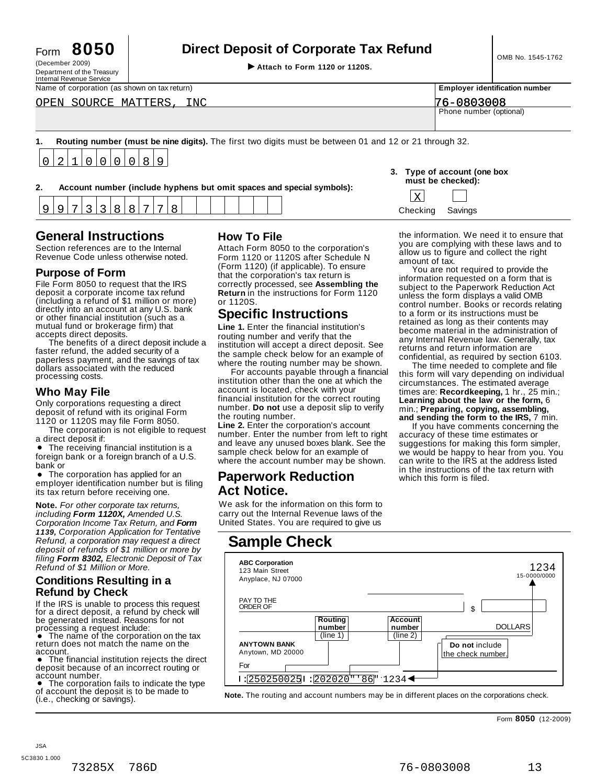| -orm | 8050 |  |
|------|------|--|
|      |      |  |

# Form **8050 Direct Deposit of Corporate Tax Refund**

(December 2009) I **Attach to Form <sup>1120</sup> or 1120S.** Department of the Treasury

| Internal Revenue Service                     |                         |                                       |
|----------------------------------------------|-------------------------|---------------------------------------|
| Name of corporation (as shown on tax return) |                         | <b>Employer identification number</b> |
| OPEN SOURCE MATTERS, INC                     | 76-0803008              |                                       |
|                                              | Phone number (optional) |                                       |
|                                              |                         |                                       |

**1. Routing number (must be nine digits).** The first two digits must be between 01 and 12 or 21 through 32.  $\overline{0}$ 2 1  $\overline{0}$  $\overline{0}$  $\Omega$  $\overline{0}$ 8  $\mathsf{Q}$ 

|                                                                       | must be checked): |
|-----------------------------------------------------------------------|-------------------|
| Account number (include hyphens but omit spaces and special symbols): |                   |

| 3. Type of account (one box<br>must be checked): |  |
|--------------------------------------------------|--|
|                                                  |  |

which this form is filed.

the information. We need it to ensure that you are complying with these laws and to allow us to figure and collect the right You are not required to provide the information requested on a form that is subject to the Paperwork Reduction Act unless the form displays a valid OMB control number. Books or records relating to a form or its instructions must be retained as long as their contents may become material in the administration of any Internal Revenue law. Generally, tax returns and return information are confidential, as required by section 6103. The time needed to complete and file this form will vary depending on individual circumstances. The estimated average times are: **Recordkeeping,** 1 hr., 25 min.; **Learning about the law or the form,** 6 min.; **Preparing, copying, assembling, and sending the form to the IRS,** 7 min. If you have comments concerning the accuracy of these time estimates or suggestions for making this form simpler, we would be happy to hear from you. You can write to the IRS at the address listed in the instructions of the tax return with

|        |  |  |  |  | - - |  |  | . . |  |  | . . |  |  | $- -$             |                      |                          |
|--------|--|--|--|--|-----|--|--|-----|--|--|-----|--|--|-------------------|----------------------|--------------------------|
| -<br>ັ |  |  |  |  |     |  |  |     |  |  |     |  |  | $\bigcap_{i=1}^n$ | $\sim$<br>7 T T<br>ີ | <br>$\sim$<br>vınas<br>ັ |

# **General Instructions How To File**

Section references are to the Internal Section references are to the Internal Attach Form 8050 to the corporation's<br>Revenue Code unless otherwise noted. Form 1120 or 1120S after Schedule N

## **Purpose of Form**

File Form 8050 to request that the IRS deposit a corporate income tax refund (including a refund of \$1 million or more) directly into an account at any U.S. bank or other financial institution (such as a mutual fund or brokerage firm) that<br>accepts direct deposits.

The benefits of a direct deposit include a faster refund, the added security of a paperless payment, and the savings of tax dollars associated with the reduced processing costs.

## **Who May File**

Only corporations requesting a direct deposit of refund with its original Form 1120 or 1120S may file Form 8050.

The corporation is not eligible to request a direct deposit if:

a direct deposit if:<br>● The receiving financial institution is a<br>ioreign bank or a foreign branch of a LLS foreign bank or a foreign branch of a U.S. bank or

• The corporation has applied for an employer identification number but is filing its tax return before receiving one.

**Note.** *For other corporate tax returns, including Form 1120X, Amended U.S. Corporation Income Tax Return, and Form 1139, Corporation Application for Tentative Refund, a corporation may request a direct deposit of refunds of \$1 million or more by filing Form 8302, Electronic Deposit of Tax Refund of \$1 Million or More.*

# **Conditions Resulting in a Refund by Check**

If the IRS is unable to process this request for a direct deposit, a refund by check will be generated instead. Reasons for not

return does not match the name on the

deposit because of an incorrect routing or

The corporation fails to indicate the type of account the deposit is to be made to (i.e., checking or savings).

Form 1120 or 1120S after Schedule N (Form 1120) (if applicable). To ensure that the corporation's tax return is correctly processed, see **Assembling the Return** in the instructions for Form 1120 or 1120S.

# **Specific Instructions**

**Line 1.** Enter the financial institution's routing number and verify that the institution will accept a direct deposit. See the sample check below for an example of where the routing number may be shown.

For accounts payable through a financial institution other than the one at which the account is located, check with your financial institution for the correct routing number. **Do not** use a deposit slip to verify the routing number.

**Line 2.** Enter the corporation's account number. Enter the number from left to right and leave any unused boxes blank. See the sample check below for an example of where the account number may be shown.

# % **Paperwork Reduction Act Notice.**

We ask for the information on this form to carry out the Internal Revenue laws of the United States. You are required to give us

# **Sample Check**



Form **8050** (12-2009)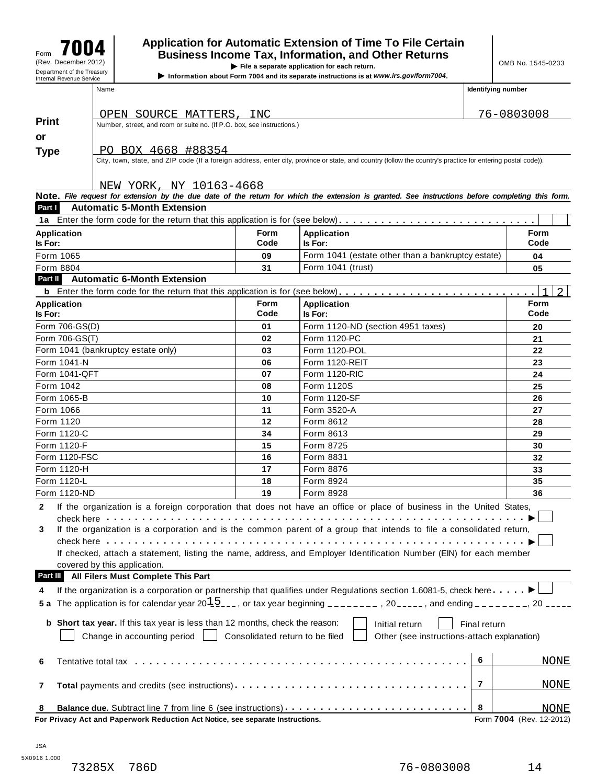# **Application for Automatic Extension of Time To File Certain** Form »´´¸ **Business Income Tax, Information, and Other Returns** Form **Figure 2012**<br>
(Rev. December 2012) **Department of the Treasury COMB No. 1545-0233**<br>
Department of the Treasury **Department of the Treasury**

**Information about Form 7004** and its separate instructions is at *www.irs.gov/form7004*.

| <b>Print</b>                  |                | OPEN SOURCE MATTERS, INC<br>Number, street, and room or suite no. (If P.O. box, see instructions.)              |                                 |                                                                                                                                                              |              | 76-0803008               |
|-------------------------------|----------------|-----------------------------------------------------------------------------------------------------------------|---------------------------------|--------------------------------------------------------------------------------------------------------------------------------------------------------------|--------------|--------------------------|
|                               |                |                                                                                                                 |                                 |                                                                                                                                                              |              |                          |
| or                            |                |                                                                                                                 |                                 |                                                                                                                                                              |              |                          |
| <b>Type</b>                   |                | PO BOX 4668 #88354                                                                                              |                                 |                                                                                                                                                              |              |                          |
|                               |                |                                                                                                                 |                                 | City, town, state, and ZIP code (If a foreign address, enter city, province or state, and country (follow the country's practice for entering postal code)). |              |                          |
|                               |                |                                                                                                                 |                                 |                                                                                                                                                              |              |                          |
|                               |                | NEW YORK, NY 10163-4668                                                                                         |                                 |                                                                                                                                                              |              |                          |
| Part I                        |                |                                                                                                                 |                                 | Note. File request for extension by the due date of the return for which the extension is granted. See instructions before completing this form.             |              |                          |
|                               |                | <b>Automatic 5-Month Extension</b>                                                                              |                                 |                                                                                                                                                              |              |                          |
|                               |                |                                                                                                                 |                                 |                                                                                                                                                              |              |                          |
| <b>Application</b><br>Is For: |                |                                                                                                                 | <b>Form</b><br>Code             | <b>Application</b><br>Is For:                                                                                                                                |              | Form<br>Code             |
|                               |                |                                                                                                                 |                                 |                                                                                                                                                              |              |                          |
| Form 1065                     |                |                                                                                                                 | 09                              | Form 1041 (estate other than a bankruptcy estate)<br>Form 1041 (trust)                                                                                       |              | 04                       |
| Form 8804<br>Part II          |                | <b>Automatic 6-Month Extension</b>                                                                              | 31                              |                                                                                                                                                              |              | 05                       |
|                               |                |                                                                                                                 |                                 |                                                                                                                                                              |              |                          |
|                               |                |                                                                                                                 |                                 | <b>b</b> Enter the form code for the return that this application is for (see below)                                                                         |              |                          |
| <b>Application</b><br>Is For: |                |                                                                                                                 | <b>Form</b><br>Code             | <b>Application</b><br>Is For:                                                                                                                                |              | <b>Form</b><br>Code      |
|                               | Form 706-GS(D) |                                                                                                                 | 01                              | Form 1120-ND (section 4951 taxes)                                                                                                                            |              | 20                       |
|                               | Form 706-GS(T) |                                                                                                                 | 02                              | Form 1120-PC                                                                                                                                                 |              | 21                       |
|                               |                | Form 1041 (bankruptcy estate only)                                                                              | 03                              | Form 1120-POL                                                                                                                                                |              | 22                       |
|                               | Form 1041-N    |                                                                                                                 | 06                              | Form 1120-REIT                                                                                                                                               |              | 23                       |
|                               | Form 1041-QFT  |                                                                                                                 | 07                              | <b>Form 1120-RIC</b>                                                                                                                                         |              | 24                       |
| Form 1042                     |                |                                                                                                                 | 08                              | Form 1120S                                                                                                                                                   |              | 25                       |
|                               | Form 1065-B    |                                                                                                                 | 10                              | Form 1120-SF                                                                                                                                                 |              | 26                       |
| Form 1066                     |                |                                                                                                                 | 11                              | Form 3520-A                                                                                                                                                  |              | 27                       |
| Form 1120                     |                |                                                                                                                 | 12                              | Form 8612                                                                                                                                                    |              | 28                       |
|                               | Form 1120-C    |                                                                                                                 | 34                              | Form 8613                                                                                                                                                    |              | 29                       |
|                               | Form 1120-F    |                                                                                                                 | 15                              | Form 8725                                                                                                                                                    |              | 30                       |
|                               | Form 1120-FSC  |                                                                                                                 | 16                              | Form 8831                                                                                                                                                    |              | 32                       |
|                               | Form 1120-H    |                                                                                                                 | 17                              | Form 8876                                                                                                                                                    |              | 33                       |
|                               | Form 1120-L    |                                                                                                                 | 18                              | Form 8924                                                                                                                                                    |              | 35                       |
|                               | Form 1120-ND   |                                                                                                                 | 19                              | Form 8928                                                                                                                                                    |              | 36                       |
| 2                             |                |                                                                                                                 |                                 |                                                                                                                                                              |              |                          |
|                               |                | check here with the check here is a more than the check here is a more than the check of the check of the check |                                 | If the organization is a foreign corporation that does not have an office or place of business in the United States,                                         |              |                          |
| 3                             |                |                                                                                                                 |                                 | If the organization is a corporation and is the common parent of a group that intends to file a consolidated return,                                         |              |                          |
|                               |                |                                                                                                                 |                                 |                                                                                                                                                              |              |                          |
|                               |                |                                                                                                                 |                                 | If checked, attach a statement, listing the name, address, and Employer Identification Number (EIN) for each member                                          |              |                          |
|                               |                | covered by this application.                                                                                    |                                 |                                                                                                                                                              |              |                          |
| Part III                      |                | All Filers Must Complete This Part                                                                              |                                 |                                                                                                                                                              |              |                          |
| 4                             |                |                                                                                                                 |                                 | If the organization is a corporation or partnership that qualifies under Regulations section 1.6081-5, check here $\blacksquare$                             |              |                          |
| 5 a                           |                |                                                                                                                 |                                 | The application is for calendar year $20\frac{15}{2}$ , or tax year beginning _______, 20____, and ending ______, 20 ____                                    |              |                          |
|                               |                |                                                                                                                 |                                 |                                                                                                                                                              |              |                          |
|                               |                | b Short tax year. If this tax year is less than 12 months, check the reason:                                    |                                 | Initial return                                                                                                                                               | Final return |                          |
|                               |                | Change in accounting period                                                                                     | Consolidated return to be filed | Other (see instructions-attach explanation)                                                                                                                  |              |                          |
|                               |                |                                                                                                                 |                                 |                                                                                                                                                              |              |                          |
| 6                             |                |                                                                                                                 |                                 |                                                                                                                                                              | 6            | <b>NONE</b>              |
|                               |                |                                                                                                                 |                                 |                                                                                                                                                              |              |                          |
| 7                             |                |                                                                                                                 |                                 | Total payments and credits (see instructions)                                                                                                                | 7            | <b>NONE</b>              |
|                               |                |                                                                                                                 |                                 |                                                                                                                                                              |              |                          |
| 8                             |                |                                                                                                                 |                                 |                                                                                                                                                              | 8            | <u>NONE</u>              |
|                               |                | For Privacy Act and Paperwork Reduction Act Notice, see separate Instructions.                                  |                                 |                                                                                                                                                              |              | Form 7004 (Rev. 12-2012) |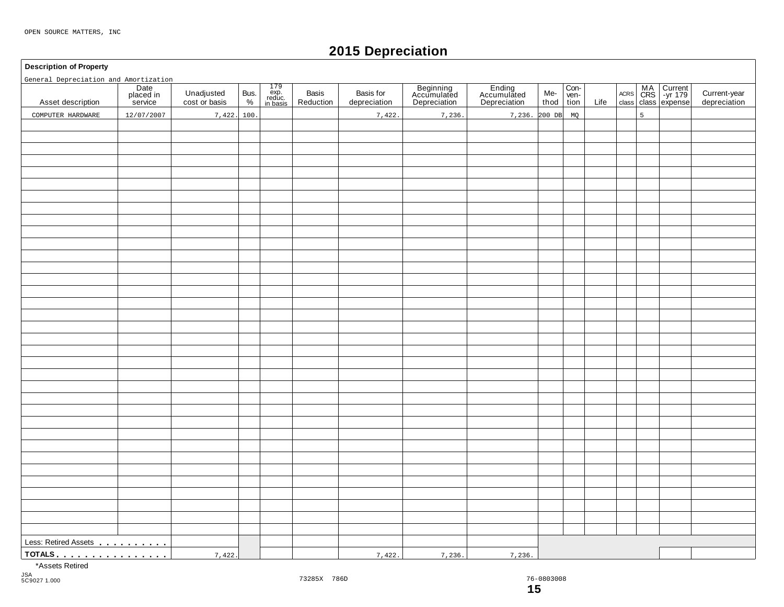# **2015 Depreciation**

#### **Description of Property**

General Depreciation and Amortization

| General Depreciation and Amortization                                                                                                                                                                                                    |                              |                             |           |                                                                                        |                    |                           |                                          |                                       |             |                      |      |   |                                        |                              |
|------------------------------------------------------------------------------------------------------------------------------------------------------------------------------------------------------------------------------------------|------------------------------|-----------------------------|-----------|----------------------------------------------------------------------------------------|--------------------|---------------------------|------------------------------------------|---------------------------------------|-------------|----------------------|------|---|----------------------------------------|------------------------------|
| Asset description                                                                                                                                                                                                                        | Date<br>placed in<br>service | Unadjusted<br>cost or basis | Bus.<br>% | $\begin{array}{r} 179 \\ \text{exp.} \\ \text{reduce.} \\ \text{in basis} \end{array}$ | Basis<br>Reduction | Basis for<br>depreciation | Beginning<br>Accumulated<br>Depreciation | Ending<br>Accumulated<br>Depreciation | Me-<br>thod | $\frac{Con-ven-tion$ | Life |   | ACRS MA Current<br>class class expense | Current-year<br>depreciation |
| COMPUTER HARDWARE                                                                                                                                                                                                                        | 12/07/2007                   | 7,422.                      | 100.      |                                                                                        |                    | 7,422                     | 7,236.                                   | 7,236. 200 DB                         |             | MQ                   |      | 5 |                                        |                              |
|                                                                                                                                                                                                                                          |                              |                             |           |                                                                                        |                    |                           |                                          |                                       |             |                      |      |   |                                        |                              |
|                                                                                                                                                                                                                                          |                              |                             |           |                                                                                        |                    |                           |                                          |                                       |             |                      |      |   |                                        |                              |
|                                                                                                                                                                                                                                          |                              |                             |           |                                                                                        |                    |                           |                                          |                                       |             |                      |      |   |                                        |                              |
|                                                                                                                                                                                                                                          |                              |                             |           |                                                                                        |                    |                           |                                          |                                       |             |                      |      |   |                                        |                              |
|                                                                                                                                                                                                                                          |                              |                             |           |                                                                                        |                    |                           |                                          |                                       |             |                      |      |   |                                        |                              |
|                                                                                                                                                                                                                                          |                              |                             |           |                                                                                        |                    |                           |                                          |                                       |             |                      |      |   |                                        |                              |
|                                                                                                                                                                                                                                          |                              |                             |           |                                                                                        |                    |                           |                                          |                                       |             |                      |      |   |                                        |                              |
|                                                                                                                                                                                                                                          |                              |                             |           |                                                                                        |                    |                           |                                          |                                       |             |                      |      |   |                                        |                              |
|                                                                                                                                                                                                                                          |                              |                             |           |                                                                                        |                    |                           |                                          |                                       |             |                      |      |   |                                        |                              |
|                                                                                                                                                                                                                                          |                              |                             |           |                                                                                        |                    |                           |                                          |                                       |             |                      |      |   |                                        |                              |
|                                                                                                                                                                                                                                          |                              |                             |           |                                                                                        |                    |                           |                                          |                                       |             |                      |      |   |                                        |                              |
|                                                                                                                                                                                                                                          |                              |                             |           |                                                                                        |                    |                           |                                          |                                       |             |                      |      |   |                                        |                              |
|                                                                                                                                                                                                                                          |                              |                             |           |                                                                                        |                    |                           |                                          |                                       |             |                      |      |   |                                        |                              |
|                                                                                                                                                                                                                                          |                              |                             |           |                                                                                        |                    |                           |                                          |                                       |             |                      |      |   |                                        |                              |
|                                                                                                                                                                                                                                          |                              |                             |           |                                                                                        |                    |                           |                                          |                                       |             |                      |      |   |                                        |                              |
|                                                                                                                                                                                                                                          |                              |                             |           |                                                                                        |                    |                           |                                          |                                       |             |                      |      |   |                                        |                              |
|                                                                                                                                                                                                                                          |                              |                             |           |                                                                                        |                    |                           |                                          |                                       |             |                      |      |   |                                        |                              |
|                                                                                                                                                                                                                                          |                              |                             |           |                                                                                        |                    |                           |                                          |                                       |             |                      |      |   |                                        |                              |
|                                                                                                                                                                                                                                          |                              |                             |           |                                                                                        |                    |                           |                                          |                                       |             |                      |      |   |                                        |                              |
|                                                                                                                                                                                                                                          |                              |                             |           |                                                                                        |                    |                           |                                          |                                       |             |                      |      |   |                                        |                              |
|                                                                                                                                                                                                                                          |                              |                             |           |                                                                                        |                    |                           |                                          |                                       |             |                      |      |   |                                        |                              |
|                                                                                                                                                                                                                                          |                              |                             |           |                                                                                        |                    |                           |                                          |                                       |             |                      |      |   |                                        |                              |
|                                                                                                                                                                                                                                          |                              |                             |           |                                                                                        |                    |                           |                                          |                                       |             |                      |      |   |                                        |                              |
|                                                                                                                                                                                                                                          |                              |                             |           |                                                                                        |                    |                           |                                          |                                       |             |                      |      |   |                                        |                              |
|                                                                                                                                                                                                                                          |                              |                             |           |                                                                                        |                    |                           |                                          |                                       |             |                      |      |   |                                        |                              |
|                                                                                                                                                                                                                                          |                              |                             |           |                                                                                        |                    |                           |                                          |                                       |             |                      |      |   |                                        |                              |
|                                                                                                                                                                                                                                          |                              |                             |           |                                                                                        |                    |                           |                                          |                                       |             |                      |      |   |                                        |                              |
|                                                                                                                                                                                                                                          |                              |                             |           |                                                                                        |                    |                           |                                          |                                       |             |                      |      |   |                                        |                              |
|                                                                                                                                                                                                                                          |                              |                             |           |                                                                                        |                    |                           |                                          |                                       |             |                      |      |   |                                        |                              |
|                                                                                                                                                                                                                                          |                              |                             |           |                                                                                        |                    |                           |                                          |                                       |             |                      |      |   |                                        |                              |
|                                                                                                                                                                                                                                          |                              |                             |           |                                                                                        |                    |                           |                                          |                                       |             |                      |      |   |                                        |                              |
|                                                                                                                                                                                                                                          |                              |                             |           |                                                                                        |                    |                           |                                          |                                       |             |                      |      |   |                                        |                              |
|                                                                                                                                                                                                                                          |                              |                             |           |                                                                                        |                    |                           |                                          |                                       |             |                      |      |   |                                        |                              |
|                                                                                                                                                                                                                                          |                              |                             |           |                                                                                        |                    |                           |                                          |                                       |             |                      |      |   |                                        |                              |
|                                                                                                                                                                                                                                          |                              |                             |           |                                                                                        |                    |                           |                                          |                                       |             |                      |      |   |                                        |                              |
| Less: Retired Assets<br>1994 - Paris Lessin, Maria Barcelona, Maria Barcelona<br>1995 - Paris Lessin, Maria Barcelona<br>1995 - Paris Lessin, Maria Barcelona<br>1995 - Paris Lessin, Maria Barcelona<br>1995 - Paris Lessin, Maria Barc |                              |                             |           |                                                                                        |                    |                           |                                          |                                       |             |                      |      |   |                                        |                              |
| <u>TOTALS</u>                                                                                                                                                                                                                            |                              | 7,422.                      |           |                                                                                        |                    | 7,422.                    | 7,236.                                   | 7,236.                                |             |                      |      |   |                                        |                              |

\*Assets Retired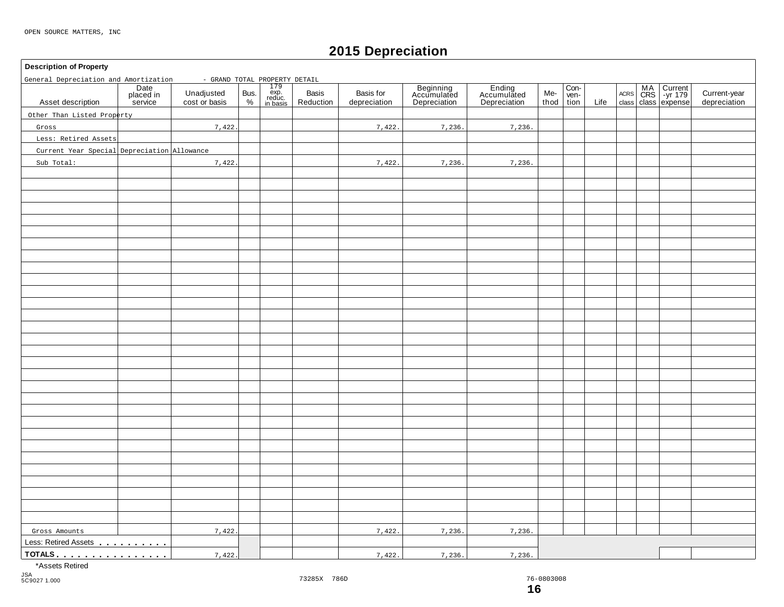# **2015 Depreciation**

# **Description of Property** 179 exp. reduc. in basis **Date** placed in service Basis | Basis for | Beginning | Ending | Me-<br>Reduction depreciation | Depreciation | Depreciation | thoc Ending Accumulated Depreciation Con- ven-tion MA Current |<br>CRS | -yr 179 | Unadjusted Bus. exp. Basis Basis Basis for Accumulated Accumulated Me- wen- Acres CRS -yr 179 |<br>
cost or basis % | reduction | depreciation | Depreciation | Depreciation | thod tion Life class class expense Unadjusted Bus.<br>cost or basis  $\begin{bmatrix} 8 & 2 \\ 2 & 1 \end{bmatrix}$ Basis<br>Reduction thod ACRS Asset description | placed in Unadjusted Bus. exp. Basis Basis Current-year Accumulated Accumulated Me- Ven- Accumulated Accumulated Accumulated Me- Ven- Accumulated Accumulated Accumulated Accumulated Me- Ven- Accumulated Less: Retired Assets mm m m m m m m m m **TOTALS** m mm m m m m m m m m m m m m m General Depreciation and Amortization - GRAND TOTAL PROPERTY DETAIL Other Than Listed Property Gross Less: Retired Assets Current Year Special Depreciation Allowance Sub Total: 7,422. 7,422. 7,422. 7,422. 7,236. 7,236. 7,236. 7,236. Gross Amounts 1,422 7,422. 7,422. 7,422. 7,236. 7,236. 7,236. 7,236.

\*Assets Retired

JSA 5C9027 1.000

76-0803008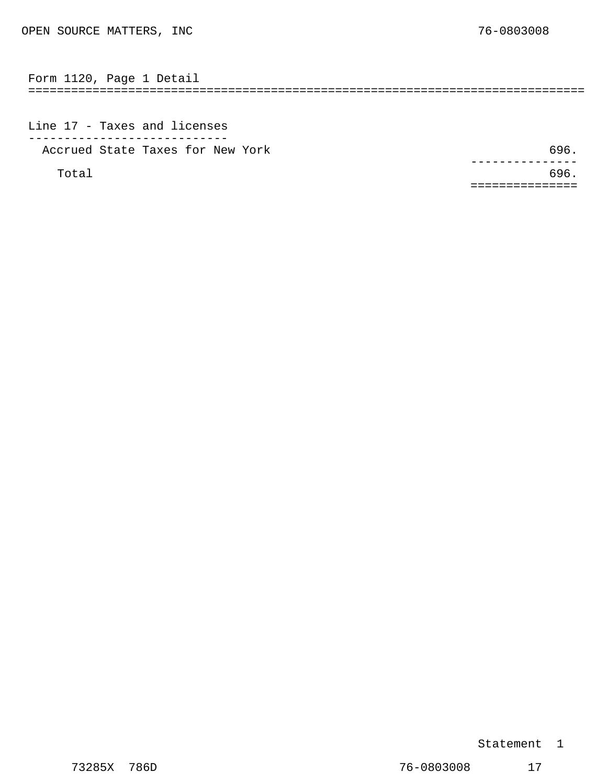<span id="page-13-0"></span>============================================================================== Form 1120, Page 1 Detail

Line 17 - Taxes and licenses ---------------------------- Accrued State Taxes for New York 696.

 $Total$  696. ---------------<br>.696 ===============

#### Statement 1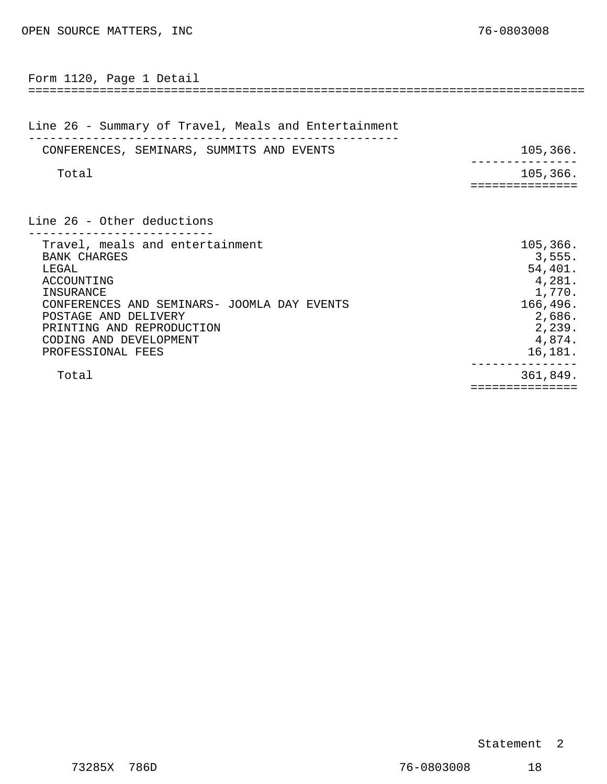<span id="page-14-0"></span>

| Form 1120, Page 1 Detail                                                                                                                                                                                                                      |                                                                                                        |
|-----------------------------------------------------------------------------------------------------------------------------------------------------------------------------------------------------------------------------------------------|--------------------------------------------------------------------------------------------------------|
| Line 26 - Summary of Travel, Meals and Entertainment                                                                                                                                                                                          |                                                                                                        |
| CONFERENCES, SEMINARS, SUMMITS AND EVENTS                                                                                                                                                                                                     | 105,366.                                                                                               |
| Total                                                                                                                                                                                                                                         | 105, 366.                                                                                              |
| Line 26 - Other deductions                                                                                                                                                                                                                    |                                                                                                        |
| Travel, meals and entertainment<br><b>BANK CHARGES</b><br>LEGAL<br>ACCOUNTING<br>INSURANCE<br>CONFERENCES AND SEMINARS- JOOMLA DAY EVENTS<br>POSTAGE AND DELIVERY<br>PRINTING AND REPRODUCTION<br>CODING AND DEVELOPMENT<br>PROFESSIONAL FEES | 105,366.<br>3,555.<br>54,401.<br>4,281.<br>1,770.<br>166,496.<br>2,686.<br>2,239.<br>4,874.<br>16,181. |
| Total                                                                                                                                                                                                                                         | 361,849.<br>==============                                                                             |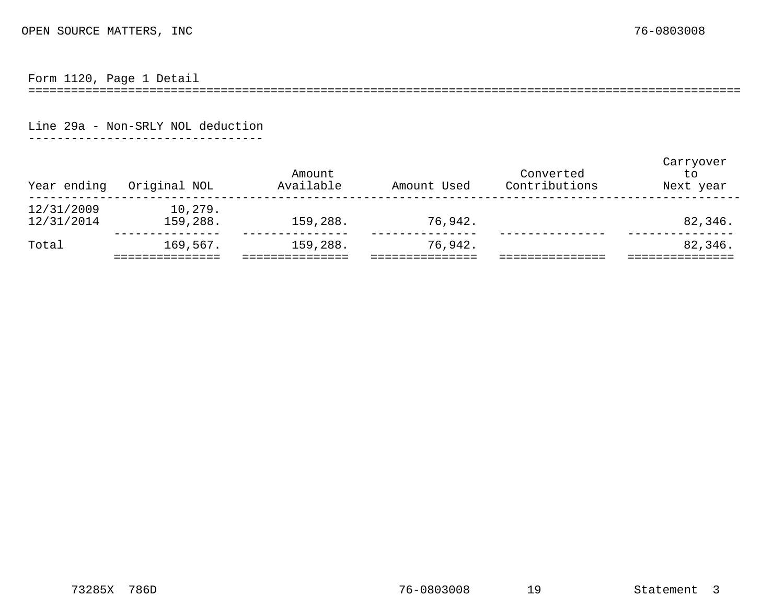Form 1120, Page 1 Detail

====================================================================================================

Line 29a - Non-SRLY NOL deduction

---------------------------------

<span id="page-15-0"></span>

| Year ending              | Original NOL        | Amount<br>Available | Amount Used | Converted<br>Contributions | Carryover<br>to.<br>Next year |
|--------------------------|---------------------|---------------------|-------------|----------------------------|-------------------------------|
| 12/31/2009<br>12/31/2014 | 10,279.<br>159,288. | 159,288.            | 76,942.     |                            | 82,346.                       |
| Total                    | 169,567.            | 159,288.            | 76,942.     |                            | 82,346.                       |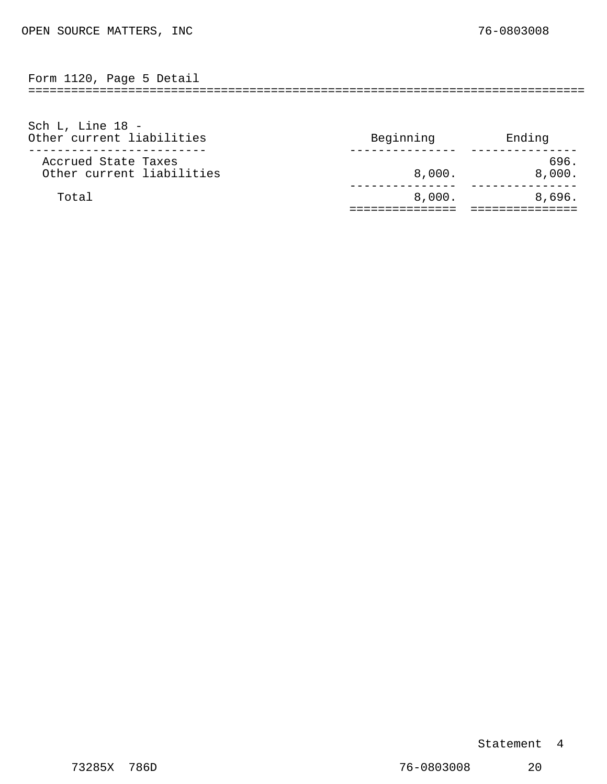<span id="page-16-0"></span>============================================================================== Form 1120, Page 5 Detail

| Accrued State Taxes<br>Other current liabilities             | 696.<br>8,000.<br>8,000. |
|--------------------------------------------------------------|--------------------------|
|                                                              |                          |
|                                                              |                          |
|                                                              |                          |
| Sch L, Line $18 -$<br>Other current liabilities<br>Beginning | Ending                   |

Statement 4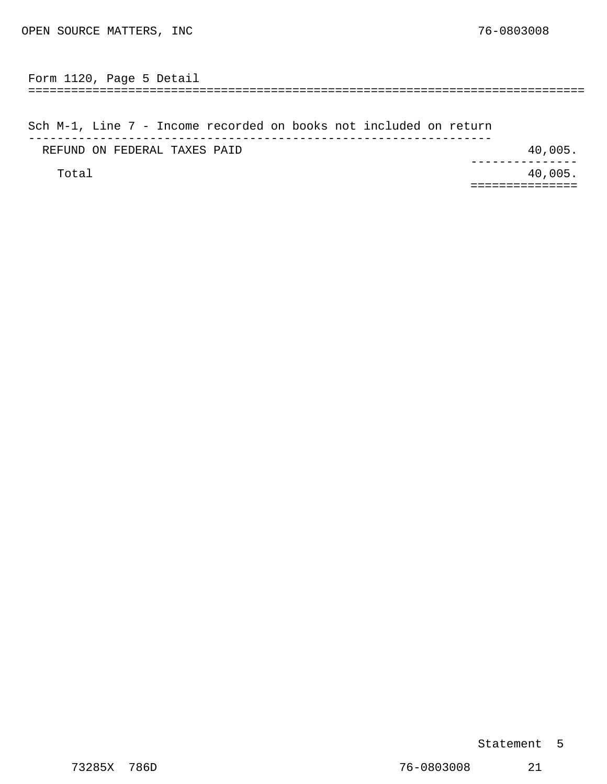<span id="page-17-0"></span>============================================================================== Form 1120, Page 5 Detail

Sch M-1, Line 7 - Income recorded on books not included on return ----------------------------------------------------------------- REFUND ON FEDERAL TAXES PAID **10.40.005.** A REFUND ON FEDERAL TAXES PAID Total  $40,005$ . --------------- ===============

#### Statement 5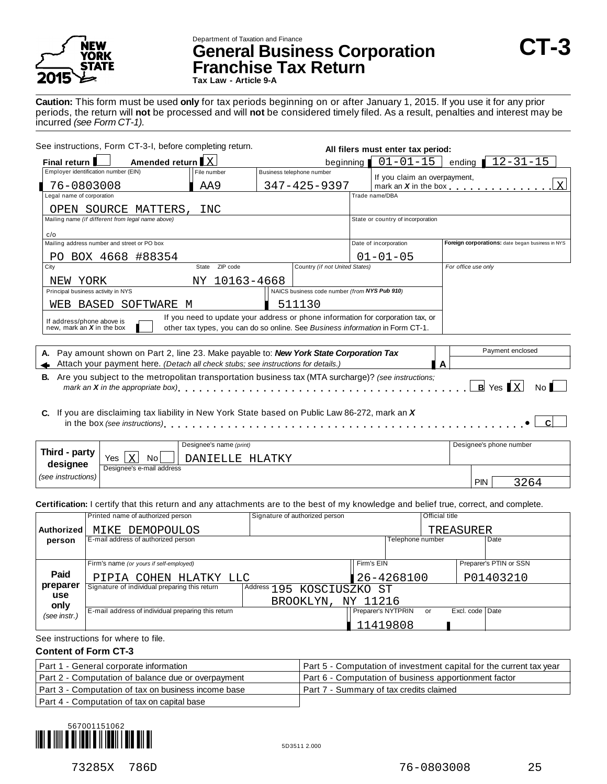

# Department of Taxation and Finance **General Business Corporation CT-3 Franchise Tax Return**

**Tax Law - Article 9-A**

**Caution:** This form must be used **only** for tax periods beginning on or after January 1, 2015. If you use it for any prior periods, the return will **not** be processed and will **not** be considered timely filed. As a result, penalties and interest may be incurred *(see Form CT-1).*

| See instructions, Form CT-3-I, before completing return.                                                                                                         |                                                                                 |  |                                               | All filers must enter tax period: |                                   |                                                  |  |  |
|------------------------------------------------------------------------------------------------------------------------------------------------------------------|---------------------------------------------------------------------------------|--|-----------------------------------------------|-----------------------------------|-----------------------------------|--------------------------------------------------|--|--|
| Amended return X<br>Final return                                                                                                                                 |                                                                                 |  | beginning                                     |                                   | $01 - 01 - 15$                    | ending $12 - 31 - 15$                            |  |  |
| Employer identification number (EIN)                                                                                                                             | File number                                                                     |  | Business telephone number                     |                                   | If you claim an overpayment,      |                                                  |  |  |
| 76-0803008                                                                                                                                                       | AA9                                                                             |  | 347-425-9397                                  |                                   |                                   | X<br>mark an X in the box                        |  |  |
| Legal name of corporation                                                                                                                                        |                                                                                 |  |                                               |                                   | Trade name/DBA                    |                                                  |  |  |
| OPEN SOURCE MATTERS,                                                                                                                                             | INC                                                                             |  |                                               |                                   |                                   |                                                  |  |  |
| Mailing name (if different from legal name above)                                                                                                                |                                                                                 |  |                                               |                                   | State or country of incorporation |                                                  |  |  |
| c/o                                                                                                                                                              |                                                                                 |  |                                               |                                   |                                   |                                                  |  |  |
| Mailing address number and street or PO box                                                                                                                      |                                                                                 |  |                                               |                                   | Date of incorporation             | Foreign corporations: date began business in NYS |  |  |
| PO BOX 4668 #88354                                                                                                                                               |                                                                                 |  |                                               |                                   | $01 - 01 - 05$                    |                                                  |  |  |
| City                                                                                                                                                             | State ZIP code                                                                  |  | Country (if not United States)                |                                   |                                   | For office use only                              |  |  |
| NEW YORK                                                                                                                                                         | NY 10163-4668                                                                   |  |                                               |                                   |                                   |                                                  |  |  |
| Principal business activity in NYS                                                                                                                               |                                                                                 |  | NAICS business code number (from NYS Pub 910) |                                   |                                   |                                                  |  |  |
| SOFTWARE M<br>WEB BASED                                                                                                                                          |                                                                                 |  | 511130                                        |                                   |                                   |                                                  |  |  |
| If address/phone above is                                                                                                                                        | If you need to update your address or phone information for corporation tax, or |  |                                               |                                   |                                   |                                                  |  |  |
| new, mark an $X$ in the box                                                                                                                                      | other tax types, you can do so online. See Business information in Form CT-1.   |  |                                               |                                   |                                   |                                                  |  |  |
|                                                                                                                                                                  |                                                                                 |  |                                               |                                   |                                   |                                                  |  |  |
| A. Pay amount shown on Part 2, line 23. Make payable to: New York State Corporation Tax                                                                          |                                                                                 |  |                                               |                                   |                                   | Payment enclosed                                 |  |  |
| Attach your payment here. (Detach all check stubs; see instructions for details.)                                                                                |                                                                                 |  |                                               |                                   | A                                 |                                                  |  |  |
| <b>B.</b> Are you subject to the metropolitan transportation business tax (MTA surcharge)? (see instructions:                                                    |                                                                                 |  |                                               |                                   |                                   |                                                  |  |  |
| mark an <b>X</b> in the appropriate box), $\ldots$ , $\ldots$ , $\ldots$ , $\ldots$ , $\ldots$ , $\ldots$ , $\ldots$ , $\ldots$ , $\ldots$ , $\ldots$ , $\ldots$ |                                                                                 |  |                                               |                                   |                                   | $B$ Yes $X$<br>No I                              |  |  |
|                                                                                                                                                                  |                                                                                 |  |                                               |                                   |                                   |                                                  |  |  |
| C. If you are disclaiming tax liability in New York State based on Public Law 86-272, mark an X                                                                  |                                                                                 |  |                                               |                                   |                                   |                                                  |  |  |
|                                                                                                                                                                  |                                                                                 |  |                                               |                                   |                                   |                                                  |  |  |
|                                                                                                                                                                  |                                                                                 |  |                                               |                                   |                                   |                                                  |  |  |
|                                                                                                                                                                  | Designee's name (print)                                                         |  |                                               |                                   |                                   | Designee's phone number                          |  |  |
| Third - party<br><b>Yes</b><br>$\mathbf{x}$<br>No.                                                                                                               | DANIELLE HLATKY                                                                 |  |                                               |                                   |                                   |                                                  |  |  |

PIN 3264

**Certification:** I certify that this return and any attachments are to the best of my knowledge and belief true, correct, and complete.

|              | Printed name of authorized person                  | Signature of authorized person |                    |                  | Official title |                 |                        |
|--------------|----------------------------------------------------|--------------------------------|--------------------|------------------|----------------|-----------------|------------------------|
| Authorized   | MIKE DEMOPOULOS                                    |                                |                    |                  | TREASURER      |                 |                        |
| person       | E-mail address of authorized person                |                                |                    | Telephone number |                |                 | Date                   |
|              |                                                    |                                |                    |                  |                |                 |                        |
|              | Firm's name (or yours if self-employed)            |                                | Firm's EIN         |                  |                |                 | Preparer's PTIN or SSN |
| Paid         | COHEN HLATKY LLC<br>PTPTA                          |                                | 26-4268100         |                  |                | P01403210       |                        |
| preparer     | Signature of individual preparing this return      | Address 195 KOSCIUSZKO ST      |                    |                  |                |                 |                        |
| use<br>only  |                                                    | BROOKLYN,<br>ΝY                | 11216              |                  |                |                 |                        |
| (see instr.) | E-mail address of individual preparing this return |                                | Preparer's NYTPRIN |                  | or             | Excl. code Date |                        |
|              |                                                    |                                | 11419808           |                  |                |                 |                        |
| .            |                                                    |                                |                    |                  |                |                 |                        |

#### See instructions for where to file.

#### **Content of Form CT-3**

**designee** *(see instructions)*

| Part 1 - General corporate information              | Part 5 - Computation of investment capital for the current tax year |
|-----------------------------------------------------|---------------------------------------------------------------------|
| Part 2 - Computation of balance due or overpayment  | Part 6 - Computation of business apportionment factor               |
| Part 3 - Computation of tax on business income base | Part 7 - Summary of tax credits claimed                             |
| Part 4 - Computation of tax on capital base         |                                                                     |

Designee's e-mail address

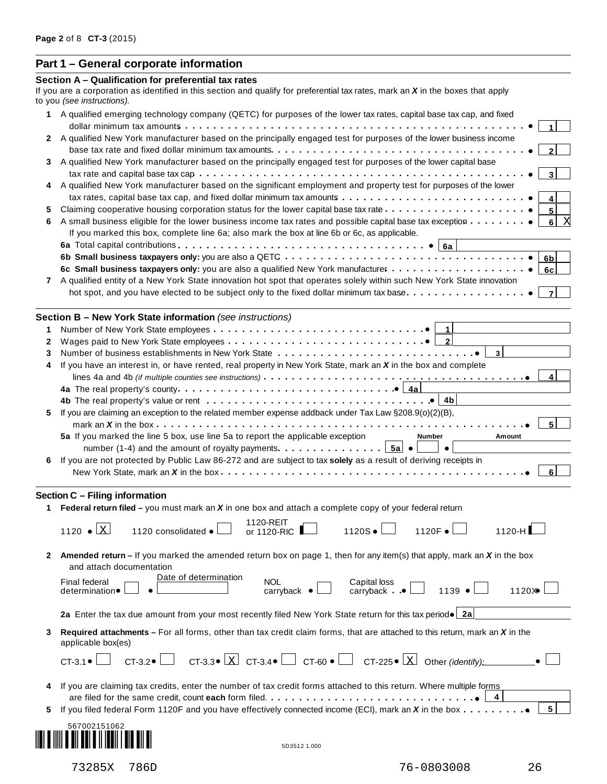# **Part 1 – General corporate information**

|    | Section A - Qualification for preferential tax rates                                                                                                                                                                         |
|----|------------------------------------------------------------------------------------------------------------------------------------------------------------------------------------------------------------------------------|
|    | If you are a corporation as identified in this section and qualify for preferential tax rates, mark an $X$ in the boxes that apply<br>to you (see instructions).                                                             |
|    | 1 A qualified emerging technology company (QETC) for purposes of the lower tax rates, capital base tax cap, and fixed                                                                                                        |
|    | 1.                                                                                                                                                                                                                           |
|    | 2 A qualified New York manufacturer based on the principally engaged test for purposes of the lower business income                                                                                                          |
| 3  | 2<br>A qualified New York manufacturer based on the principally engaged test for purposes of the lower capital base                                                                                                          |
|    | 3                                                                                                                                                                                                                            |
|    | 4 A qualified New York manufacturer based on the significant employment and property test for purposes of the lower                                                                                                          |
|    | 4                                                                                                                                                                                                                            |
| 5  | 5 <sup>1</sup>                                                                                                                                                                                                               |
| 6  | A small business eligible for the lower business income tax rates and possible capital base tax exception<br>8  <br>X                                                                                                        |
|    | If you marked this box, complete line 6a; also mark the box at line 6b or 6c, as applicable.                                                                                                                                 |
|    |                                                                                                                                                                                                                              |
|    | 6 <sub>b</sub>                                                                                                                                                                                                               |
|    | 6c<br>A qualified entity of a New York State innovation hot spot that operates solely within such New York State innovation                                                                                                  |
| 7  | hot spot, and you have elected to be subject only to the fixed dollar minimum tax base<br>$\overline{7}$                                                                                                                     |
|    |                                                                                                                                                                                                                              |
|    | Section B - New York State information (see instructions)                                                                                                                                                                    |
| 1  |                                                                                                                                                                                                                              |
| 2  |                                                                                                                                                                                                                              |
| 3  |                                                                                                                                                                                                                              |
| 4  | If you have an interest in, or have rented, real property in New York State, mark an X in the box and complete                                                                                                               |
|    | $\vert$ 4                                                                                                                                                                                                                    |
|    |                                                                                                                                                                                                                              |
| 5. | 4b The real property's value or rent $\ldots \ldots \ldots \ldots \ldots \ldots \ldots \ldots \ldots \ldots \ldots$<br>If you are claiming an exception to the related member expense addback under Tax Law §208.9(o)(2)(B), |
|    | 5                                                                                                                                                                                                                            |
|    | 5a If you marked the line 5 box, use line 5a to report the applicable exception<br>Number<br>Amount                                                                                                                          |
|    | number (1-4) and the amount of royalty payments. $\boxed{5a} \bullet \boxed{ }$<br>$\bullet$                                                                                                                                 |
| 6  | If you are not protected by Public Law 86-272 and are subject to tax solely as a result of deriving receipts in                                                                                                              |
|    | 6 <sup>1</sup>                                                                                                                                                                                                               |
|    | Section C - Filing information                                                                                                                                                                                               |
|    | 1 Federal return filed – you must mark an $X$ in one box and attach a complete copy of your federal return                                                                                                                   |
|    | 1120-REIT                                                                                                                                                                                                                    |
|    | Χ<br>$1120$ $\bullet$<br>1120S •<br>1120F •<br>$1120-H$<br>1120 consolidated ●<br>or 1120-RIC I                                                                                                                              |
|    | <b>Amended return</b> – If you marked the amended return box on page 1, then for any item(s) that apply, mark an X in the box                                                                                                |
|    | and attach documentation                                                                                                                                                                                                     |
|    | Date of determination<br><b>Final federal</b><br><b>NOL</b>                                                                                                                                                                  |
|    | Capital loss<br>carryback •<br>1139 •<br>1120X<br>carryback $\bullet$<br>determination •                                                                                                                                     |
|    |                                                                                                                                                                                                                              |
|    | 2a Enter the tax due amount from your most recently filed New York State return for this tax period . 2a                                                                                                                     |
| 3  | Required attachments $-$ For all forms, other than tax credit claim forms, that are attached to this return, mark an $X$ in the<br>applicable box(es)                                                                        |
|    | CT-3.2 $\Box$ CT-3.3 $\Box$ CT-3.4 $\Box$ CT-60 $\bullet$ $\Box$ CT-225 $\bullet$ $\Box$ Other (identify):<br>$CT-3.1$ $\bullet$ $\downarrow$                                                                                |
|    | If you are claiming tax credits, enter the number of tax credit forms attached to this return. Where multiple forms                                                                                                          |
|    | are filed for the same credit, count each form filed. $\dots \dots \dots \dots \dots \dots \dots \dots \dots \dots \dots \dots$                                                                                              |
| 5. | 5 <br>If you filed federal Form 1120F and you have effectively connected income (ECI), mark an X in the box                                                                                                                  |
|    | 567002151062                                                                                                                                                                                                                 |
|    | 5D3512 1.000                                                                                                                                                                                                                 |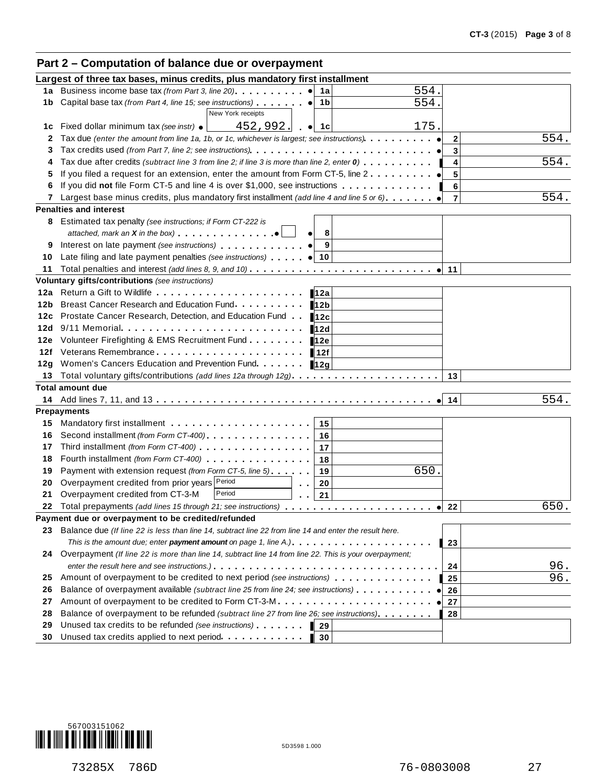# **Part 2 – Computation of balance due or overpayment**

|            | Largest of three tax bases, minus credits, plus mandatory first installment                                                                                                                                                          |                      |
|------------|--------------------------------------------------------------------------------------------------------------------------------------------------------------------------------------------------------------------------------------|----------------------|
|            | 554.<br>1a Business income base tax (from Part 3, line 20) <b>1a</b> e 1a                                                                                                                                                            |                      |
|            | 554.<br>1b Capital base tax (from Part 4, line 15; see instructions)<br>1b                                                                                                                                                           |                      |
|            | New York receipts                                                                                                                                                                                                                    |                      |
| 1c         | 175<br>452,992.<br>Fixed dollar minimum tax (see instr) $\bullet$<br>$\bullet$ 1c                                                                                                                                                    |                      |
| 2          | Tax due (enter the amount from line 1a, 1b, or 1c, whichever is largest; see instructions)                                                                                                                                           | 554.<br>$\mathbf{2}$ |
| 3          |                                                                                                                                                                                                                                      | 3                    |
| 4          | Tax due after credits (subtract line 3 from line 2; if line 3 is more than line 2, enter 0)                                                                                                                                          | 554.<br>4            |
| 5          | If you filed a request for an extension, enter the amount from Form CT-5, line $2 \ldots $                                                                                                                                           | 5                    |
| 6          | If you did not file Form CT-5 and line 4 is over \$1,000, see instructions                                                                                                                                                           | 6                    |
|            | 7 Largest base minus credits, plus mandatory first installment (add line 4 and line 5 or 6)                                                                                                                                          | 554.<br>7            |
|            | <b>Penalties and interest</b>                                                                                                                                                                                                        |                      |
|            | 8 Estimated tax penalty (see instructions; if Form CT-222 is                                                                                                                                                                         |                      |
|            | attached, mark an $X$ in the box)<br>8                                                                                                                                                                                               |                      |
| 9          | Interest on late payment (see instructions) example that the contract on late payment (see instructions)<br>9                                                                                                                        |                      |
| 10         | Late filing and late payment penalties (see instructions) (a) 10                                                                                                                                                                     |                      |
| 11         |                                                                                                                                                                                                                                      | 11                   |
|            | Voluntary gifts/contributions (see instructions)                                                                                                                                                                                     |                      |
|            | 12a<br>Breast Cancer Research and Education Fund                                                                                                                                                                                     |                      |
| 12b        | 12 <sub>b</sub>                                                                                                                                                                                                                      |                      |
| 12c        | Prostate Cancer Research, Detection, and Education Fund<br>12c<br>$9/11$ Memorial $\ldots$ , $\ldots$ , $\ldots$ , $\ldots$ , $\ldots$ , $\ldots$                                                                                    |                      |
| 12d        | 12d<br>Volunteer Firefighting & EMS Recruitment Fund                                                                                                                                                                                 |                      |
| 12e<br>12f | 12e<br>Veterans Remembrance experience in the set of the set of the set of the set of the set of the set of the set o                                                                                                                |                      |
|            | <b>12f</b><br>12g Women's Cancers Education and Prevention Fund.                                                                                                                                                                     |                      |
| 13         | 12g                                                                                                                                                                                                                                  | 13                   |
|            | <b>Total amount due</b>                                                                                                                                                                                                              |                      |
|            |                                                                                                                                                                                                                                      | 554.<br>14           |
|            | <b>Prepayments</b>                                                                                                                                                                                                                   |                      |
| 15         | 15                                                                                                                                                                                                                                   |                      |
| 16         | Second installment (from Form CT-400) [19] CHANGER SECOND IN SECOND US A SECOND US A SECOND US A SECOND US A SECOND US A SECOND US A SECOND US A SECOND US A SECOND US A SECOND US A SECOND US A SECOND US A SECOND US A SECON<br>16 |                      |
| 17         | Third installment (from Form CT-400) [19] [19] Third installment (from Form CT-400)<br>17                                                                                                                                            |                      |
| 18         | Fourth installment (from Form CT-400)<br>18                                                                                                                                                                                          |                      |
| 19         | 650<br>Payment with extension request (from Form CT-5, line 5)<br>19                                                                                                                                                                 |                      |
| 20         | Overpayment credited from prior years Period<br>20<br>$\alpha = 0$                                                                                                                                                                   |                      |
| 21         | Overpayment credited from CT-3-M<br>Period<br>21                                                                                                                                                                                     |                      |
| 22         | Total prepayments (add lines 15 through 21; see instructions)                                                                                                                                                                        | 650.<br>22           |
|            | Payment due or overpayment to be credited/refunded                                                                                                                                                                                   |                      |
|            | 23 Balance due (If line 22 is less than line 14, subtract line 22 from line 14 and enter the result here.                                                                                                                            |                      |
|            | This is the amount due; enter payment amount on page 1, line $A_1, \ldots, \ldots, \ldots, \ldots, \ldots, \ldots$                                                                                                                   | $\overline{23}$      |
|            | 24 Overpayment (If line 22 is more than line 14, subtract line 14 from line 22. This is your overpayment;                                                                                                                            |                      |
|            |                                                                                                                                                                                                                                      | 96.<br>24            |
| 25         | Amount of overpayment to be credited to next period (see instructions)                                                                                                                                                               | 96.<br>25            |
| 26         | Balance of overpayment available (subtract line 25 from line 24; see instructions)                                                                                                                                                   | 26                   |
| 27         |                                                                                                                                                                                                                                      | 27                   |
| 28         | Balance of overpayment to be refunded (subtract line 27 from line 26; see instructions)                                                                                                                                              | 28                   |
| 29         | Unused tax credits to be refunded (see instructions)<br>$\blacksquare$ 29                                                                                                                                                            |                      |
| 30         | Unused tax credits applied to next period<br>$\blacksquare$ 30                                                                                                                                                                       |                      |

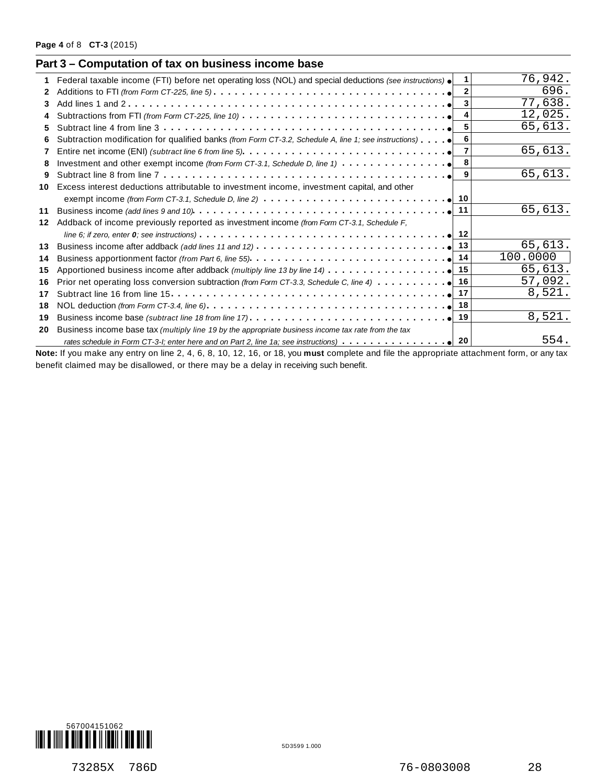|    | Federal taxable income (FTI) before net operating loss (NOL) and special deductions (see instructions) .                  | 1.             | 76,942.  |
|----|---------------------------------------------------------------------------------------------------------------------------|----------------|----------|
| 2  |                                                                                                                           | $\overline{2}$ | 696.     |
| 3  |                                                                                                                           |                | 77,638.  |
|    | Subtractions from FTI (from Form CT-225, line 10) $\ldots \ldots \ldots \ldots \ldots \ldots \ldots \ldots \ldots \ldots$ | 4              | 12,025.  |
| 5  |                                                                                                                           | 5              | 65,613.  |
| 6  | Subtraction modification for qualified banks (from Form CT-3.2, Schedule A, line 1; see instructions) $\bullet$           | 6              |          |
|    |                                                                                                                           |                | 65,613.  |
| 8  | Investment and other exempt income (from Form CT-3.1, Schedule D, line 1) $\ldots \ldots \ldots$                          | 8              |          |
| 9  |                                                                                                                           | 9              | 65,613.  |
| 10 | Excess interest deductions attributable to investment income, investment capital, and other                               |                |          |
|    | exempt income (from Form CT-3.1, Schedule D, line 2) $\ldots \ldots \ldots \ldots \ldots \ldots \ldots \ldots \ldots$     |                |          |
| 11 |                                                                                                                           |                | 65,613.  |
| 12 | Addback of income previously reported as investment income (from Form CT-3.1, Schedule F,                                 |                |          |
|    |                                                                                                                           |                |          |
| 13 |                                                                                                                           |                | 65,613.  |
| 14 |                                                                                                                           |                | 100.0000 |
| 15 |                                                                                                                           |                | 65,613.  |
| 16 | Prior net operating loss conversion subtraction (from Form CT-3.3, Schedule C, line 4) $\cdots$                           |                | 57,092.  |
| 17 |                                                                                                                           |                | 8,521.   |
| 18 |                                                                                                                           |                |          |
| 19 |                                                                                                                           | 19             | 8,521.   |
| 20 | Business income base tax (multiply line 19 by the appropriate business income tax rate from the tax                       |                |          |
|    |                                                                                                                           |                | 554.     |

benefit claimed may be disallowed, or there may be a delay in receiving such benefit.

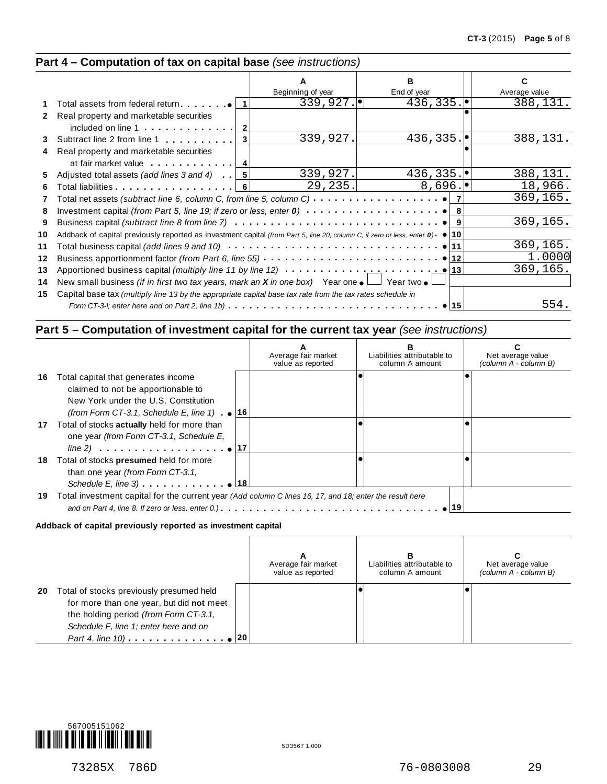# **Part 4 – Computation of tax on capital base** *(see instructions)*

|              |                                                                                                                                         |                   | R           |               |
|--------------|-----------------------------------------------------------------------------------------------------------------------------------------|-------------------|-------------|---------------|
|              |                                                                                                                                         | Beginning of year | End of year | Average value |
|              | Total assets from federal return $\bullet$   1                                                                                          | 339,927.          | 436,335.    | 388,131.      |
| $\mathbf{2}$ | Real property and marketable securities                                                                                                 |                   |             |               |
|              | included on line $1 \ldots \ldots \ldots$                                                                                               |                   |             |               |
| 3            | 3<br>Subtract line 2 from line 1                                                                                                        | 339,927.          | 436,335.    | 388,131.      |
| 4            | Real property and marketable securities                                                                                                 |                   |             |               |
|              | at fair market value   4                                                                                                                |                   |             |               |
| 5            | Adjusted total assets (add lines 3 and 4) $\vert 5 \vert$                                                                               | 339,927.          | 436,335.    | 388,131.      |
| 6            | Total liabilities experience and the Total liabilities                                                                                  | 29, 235.          | 8,696.      | 18,966.       |
| 7            | Total net assets (subtract line 6, column C, from line 5, column C) $\cdots \cdots \cdots \cdots \cdots$                                |                   |             | 369, 165.     |
| 8            |                                                                                                                                         |                   |             |               |
| 9            |                                                                                                                                         |                   |             | 369,165.      |
| 10           | Addback of capital previously reported as investment capital (from Part 5, line 20, column C; if zero or less, enter $0$ ) $\bullet$ 10 |                   |             |               |
| 11           |                                                                                                                                         |                   |             | 369,165.      |
| 12           | Business apportionment factor (from Part 6, line 55) $\ldots \ldots \ldots \ldots \ldots \ldots \ldots \ldots$                          |                   |             | 1.0000        |
| 13           | Apportioned business capital (multiply line 11 by line 12) $\cdots \cdots \cdots$                                                       |                   |             | 369,165.      |
|              |                                                                                                                                         |                   |             |               |
| 14           | New small business <i>(if in first two tax years, mark an <b>X</b> in one box)</i> Year one $\bullet$ $\Box$ Year two $\bullet$         |                   |             |               |
| 15           | Capital base tax (multiply line 13 by the appropriate capital base tax rate from the tax rates schedule in                              |                   |             |               |
|              |                                                                                                                                         |                   | •⊺15        | 554.          |

# **Part 5 – Computation of investment capital for the current tax year** *(see instructions)*

|     |                                                                                                         | Average fair market<br>value as reported | Liabilities attributable to<br>column A amount | Net average value<br>(column A - column B) |
|-----|---------------------------------------------------------------------------------------------------------|------------------------------------------|------------------------------------------------|--------------------------------------------|
| 16. | Total capital that generates income                                                                     |                                          |                                                |                                            |
|     | claimed to not be apportionable to                                                                      |                                          |                                                |                                            |
|     | New York under the U.S. Constitution                                                                    |                                          |                                                |                                            |
|     | (from Form CT-3.1, Schedule E, line 1) $\bullet$   16                                                   |                                          |                                                |                                            |
|     | 17 Total of stocks actually held for more than                                                          |                                          |                                                |                                            |
|     | one year (from Form CT-3.1, Schedule E,                                                                 |                                          |                                                |                                            |
|     |                                                                                                         |                                          |                                                |                                            |
| 18  | Total of stocks presumed held for more                                                                  |                                          |                                                |                                            |
|     | than one year (from Form CT-3.1,                                                                        |                                          |                                                |                                            |
|     | Schedule E, line 3) $\qquad \qquad$ 18                                                                  |                                          |                                                |                                            |
| 19  | Total investment capital for the current year (Add column C lines 16, 17, and 18; enter the result here |                                          |                                                |                                            |
|     |                                                                                                         |                                          |                                                |                                            |
|     |                                                                                                         |                                          |                                                |                                            |

#### **Addback of capital previously reported as investment capital**

|    |                                                                                                                                                                        | Average fair market<br>value as reported | Liabilities attributable to<br>column A amount | Net average value<br>(column A - column B) |
|----|------------------------------------------------------------------------------------------------------------------------------------------------------------------------|------------------------------------------|------------------------------------------------|--------------------------------------------|
| 20 | Total of stocks previously presumed held<br>for more than one year, but did not meet<br>the holding period (from Form CT-3.1,<br>Schedule F, line 1; enter here and on |                                          |                                                |                                            |

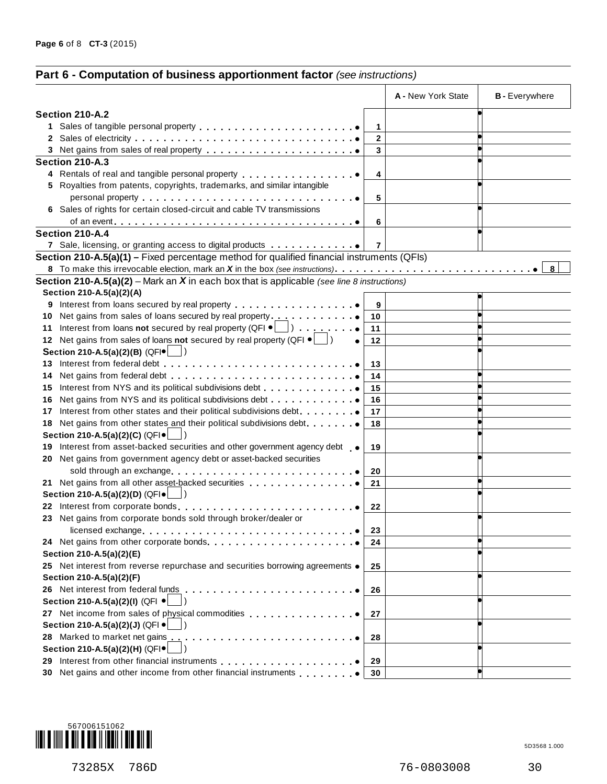# **Part 6 - Computation of business apportionment factor** *(see instructions)*

|    |                                                                                                                                                                                                                                |                | A - New York State | <b>B</b> - Everywhere |
|----|--------------------------------------------------------------------------------------------------------------------------------------------------------------------------------------------------------------------------------|----------------|--------------------|-----------------------|
|    | Section 210-A.2                                                                                                                                                                                                                |                |                    |                       |
|    |                                                                                                                                                                                                                                | 1              |                    |                       |
|    |                                                                                                                                                                                                                                | $\mathbf{2}$   |                    |                       |
|    |                                                                                                                                                                                                                                | 3              |                    |                       |
|    | Section 210-A.3                                                                                                                                                                                                                |                |                    |                       |
|    | 4 Rentals of real and tangible personal property entitled as the control of the set of the set of the set of the set of the set of the set of the set of the set of the set of the set of the set of the set of the set of the | 4              |                    |                       |
|    | 5 Royalties from patents, copyrights, trademarks, and similar intangible                                                                                                                                                       |                |                    |                       |
|    |                                                                                                                                                                                                                                | 5              |                    |                       |
|    | 6 Sales of rights for certain closed-circuit and cable TV transmissions                                                                                                                                                        |                |                    |                       |
|    |                                                                                                                                                                                                                                | 6              |                    |                       |
|    | Section 210-A.4                                                                                                                                                                                                                |                |                    |                       |
|    | 7 Sale, licensing, or granting access to digital products                                                                                                                                                                      | $\overline{7}$ |                    |                       |
|    | Section 210-A.5(a)(1) – Fixed percentage method for qualified financial instruments (QFIs)                                                                                                                                     |                |                    |                       |
|    |                                                                                                                                                                                                                                |                |                    | 8                     |
|    | <b>Section 210-A.5(a)(2)</b> – Mark an $X$ in each box that is applicable (see line 8 instructions)                                                                                                                            |                |                    |                       |
|    | Section 210-A.5(a)(2)(A)                                                                                                                                                                                                       |                |                    |                       |
|    |                                                                                                                                                                                                                                | 9              |                    |                       |
|    | 10 Net gains from sales of loans secured by real property                                                                                                                                                                      | 10             |                    |                       |
|    | 11 Interest from loans not secured by real property (QFI $\bullet$ \[all ) $\bullet$                                                                                                                                           | 11             |                    |                       |
|    | 12 Net gains from sales of loans not secured by real property (QFI $\bullet$ $\Box$ )                                                                                                                                          | 12             |                    |                       |
|    | Section 210-A.5(a)(2)(B) (QFI $\bullet$                                                                                                                                                                                        |                |                    |                       |
|    |                                                                                                                                                                                                                                | 13             |                    |                       |
|    |                                                                                                                                                                                                                                | 14             |                    |                       |
|    | 15 Interest from NYS and its political subdivisions debt                                                                                                                                                                       | 15             |                    |                       |
| 16 | Net gains from NYS and its political subdivisions debt                                                                                                                                                                         | 16             |                    |                       |
|    | 17 Interest from other states and their political subdivisions debt.                                                                                                                                                           | 17             |                    |                       |
|    | 18 Net gains from other states and their political subdivisions debt.                                                                                                                                                          | 18             |                    |                       |
|    | Section 210-A.5(a)(2)(C) (QFI .                                                                                                                                                                                                |                |                    |                       |
|    | 19 Interest from asset-backed securities and other government agency debt .                                                                                                                                                    | 19             |                    |                       |
| 20 | Net gains from government agency debt or asset-backed securities                                                                                                                                                               |                |                    |                       |
|    |                                                                                                                                                                                                                                | 20             |                    |                       |
|    | 21 Net gains from all other asset-backed securities                                                                                                                                                                            | 21             |                    |                       |
|    | Section 210-A.5(a)(2)(D) (QFI .                                                                                                                                                                                                |                |                    |                       |
|    | 22 Interest from corporate bonds                                                                                                                                                                                               | 22             |                    |                       |
|    | 23 Net gains from corporate bonds sold through broker/dealer or                                                                                                                                                                |                |                    |                       |
|    |                                                                                                                                                                                                                                | 23             |                    |                       |
|    |                                                                                                                                                                                                                                | 24             |                    |                       |
|    | Section 210-A.5(a)(2)(E)                                                                                                                                                                                                       |                |                    |                       |
|    | 25 Net interest from reverse repurchase and securities borrowing agreements .                                                                                                                                                  | 25             |                    |                       |
|    | Section 210-A.5(a)(2)(F)                                                                                                                                                                                                       |                |                    |                       |
|    |                                                                                                                                                                                                                                | 26             |                    |                       |
|    | Section 210-A.5(a)(2)(l) (QFI ·                                                                                                                                                                                                |                |                    |                       |
|    | 27 Net income from sales of physical commodities                                                                                                                                                                               | 27             |                    |                       |
|    | Section 210-A.5(a)(2)(J) (QFI ·                                                                                                                                                                                                |                |                    |                       |
|    |                                                                                                                                                                                                                                | 28             |                    |                       |
|    | Section 210-A.5(a)(2)(H) (QFI ·                                                                                                                                                                                                |                |                    |                       |
|    |                                                                                                                                                                                                                                | 29             |                    |                       |
|    | 30 Net gains and other income from other financial instruments                                                                                                                                                                 | 30             |                    |                       |
|    |                                                                                                                                                                                                                                |                |                    |                       |



73285X 786D 76-0803008 30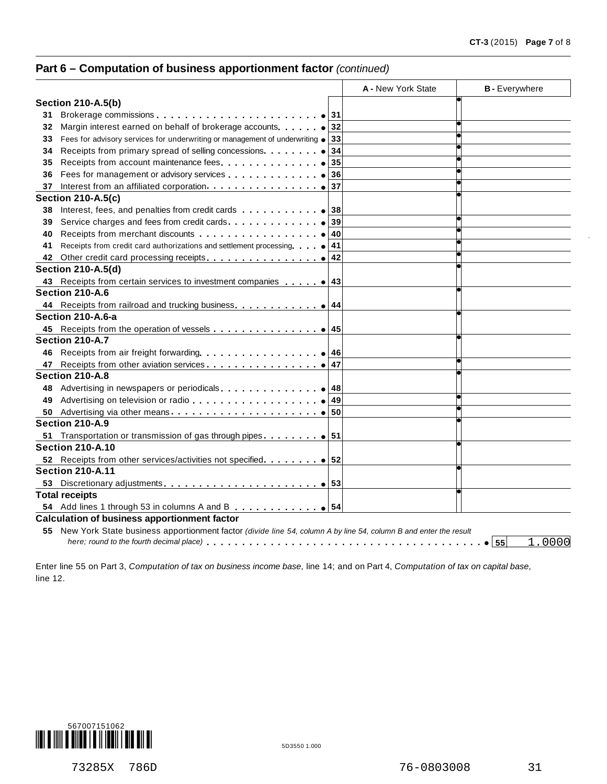# **Part 6 – Computation of business apportionment factor** *(continued)*

|    |                                                                                                                     |    | A - New York State | <b>B</b> - Everywhere |
|----|---------------------------------------------------------------------------------------------------------------------|----|--------------------|-----------------------|
|    | <b>Section 210-A.5(b)</b>                                                                                           |    |                    |                       |
| 31 |                                                                                                                     |    |                    |                       |
| 32 | Margin interest earned on behalf of brokerage accounts. $\bullet$ 32                                                |    |                    |                       |
| 33 | Fees for advisory services for underwriting or management of underwriting $\bullet$                                 | 33 |                    |                       |
| 34 | Receipts from primary spread of selling concessions.                                                                | 34 |                    |                       |
| 35 | Receipts from account maintenance fees                                                                              | 35 |                    |                       |
| 36 |                                                                                                                     | 36 |                    |                       |
| 37 |                                                                                                                     |    |                    |                       |
|    | <b>Section 210-A.5(c)</b>                                                                                           |    |                    |                       |
| 38 |                                                                                                                     |    |                    |                       |
| 39 | Service charges and fees from credit cards.                                                                         | 39 |                    |                       |
| 40 |                                                                                                                     | 40 |                    |                       |
| 41 | Receipts from credit card authorizations and settlement processing $\bullet$ 41                                     |    |                    |                       |
| 42 |                                                                                                                     | 42 |                    |                       |
|    | <b>Section 210-A.5(d)</b>                                                                                           |    |                    |                       |
|    |                                                                                                                     |    |                    |                       |
|    | Section 210-A.6                                                                                                     |    |                    |                       |
|    |                                                                                                                     |    |                    |                       |
|    | Section 210-A.6-a                                                                                                   |    |                    |                       |
|    |                                                                                                                     |    |                    |                       |
|    | Section 210-A.7                                                                                                     |    |                    |                       |
|    |                                                                                                                     |    |                    |                       |
| 47 |                                                                                                                     | 47 |                    |                       |
|    | Section 210-A.8                                                                                                     |    |                    |                       |
| 48 |                                                                                                                     |    |                    |                       |
| 49 |                                                                                                                     | 49 |                    |                       |
|    |                                                                                                                     |    |                    |                       |
|    | Section 210-A.9                                                                                                     |    |                    |                       |
| 51 | Transportation or transmission of gas through pipes. $\ldots \ldots \bullet   51$                                   |    |                    |                       |
|    | <b>Section 210-A.10</b>                                                                                             |    |                    |                       |
|    |                                                                                                                     |    |                    |                       |
|    | <b>Section 210-A.11</b>                                                                                             |    |                    |                       |
|    |                                                                                                                     |    |                    |                       |
|    | <b>Total receipts</b>                                                                                               |    |                    |                       |
|    | 54 Add lines 1 through 53 in columns A and B $\blacksquare$                                                         |    |                    |                       |
|    | <b>Calculation of business apportionment factor</b>                                                                 |    |                    |                       |
|    | 55 New York State business apportionment factor (divide line 54, column A by line 54, column B and enter the result |    |                    |                       |
|    |                                                                                                                     |    |                    | 1.0000<br>55          |

Enter line 55 on Part 3, *Computation of tax on business income base*, line 14; and on Part 4, *Computation of tax on capital base*, line 12.



73285X 786D 76-0803008 31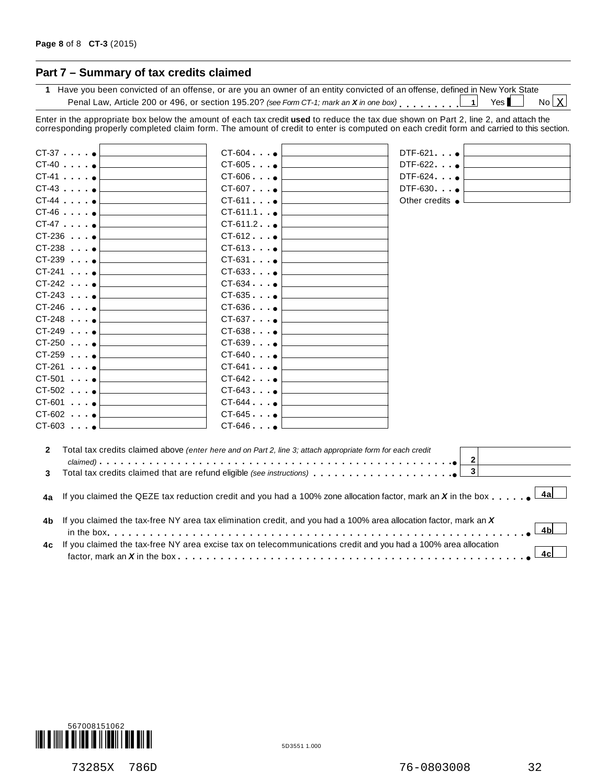# **Part 7 – Summary of tax credits claimed**

**1** Have you been convicted of an offense, or are you an owner of an entity convicted of an offense, defined in New York State Penal Law, Article 200 or 496, or section 195.20? *(see Form CT-1; mark an* **X** *in* one box) **m** m m m m m m m m  $\begin{bmatrix} 1 \end{bmatrix}$  Yes  $No X$ 

Enter in the appropriate box below the amount of each tax credit **used** to reduce the tax due shown on Part 2, line 2, and attach the corresponding properly completed claim form. The amount of credit to enter is computed on each credit form and carried to this section.

|              | $CT-37$ $\bullet$                                                     | $CT-604$ $\bullet$                                                                                                 | $DTF-621$                 |
|--------------|-----------------------------------------------------------------------|--------------------------------------------------------------------------------------------------------------------|---------------------------|
|              | $CT-40$ $\bullet$                                                     | $CT-605$ $\bullet$                                                                                                 | $DTF-622$ $\bullet$       |
|              | $CT-41$ $\bullet$                                                     | $CT-606$ . $\bullet$ $\Box$                                                                                        | DTF-624 $\bullet$         |
|              | $CT-43$                                                               | $CT-607$ $\bullet$                                                                                                 | DTF-630 $\bullet$         |
|              | $CT-44$ $•$                                                           | $CT-611$ $\bullet$ $\Box$                                                                                          | Other credits $\bullet$ L |
|              | $CT-46$ $\bullet$                                                     | $CT-611.1 \bullet 1$                                                                                               |                           |
|              | $CT-47$ $\bullet$                                                     | $CT-611.2$ $\bullet$                                                                                               |                           |
|              | $CT-236$                                                              | $CT-612$ $\bullet$                                                                                                 |                           |
|              | $CT-238$                                                              | $CT-613$ $\bullet$ $\Box$                                                                                          |                           |
|              | $CT-239$                                                              | $CT-631$ $\bullet$                                                                                                 |                           |
|              | $CT-241$ $\qquad$                                                     | $CT-633$ $\bullet$ $\Box$                                                                                          |                           |
|              | $CT-242$ $\bullet$                                                    | $CT-634$ $\bullet$                                                                                                 |                           |
|              | $CT-243$ $\bullet$                                                    | $CT-635$ $\bullet$ $\Box$                                                                                          |                           |
|              | $CT-246$ $\bullet$                                                    | $CT-636$ $\bullet$                                                                                                 |                           |
|              | $CT-248$ $\bullet$                                                    | $CT-637$ $\bullet$                                                                                                 |                           |
|              | $CT-249$ $\bullet$                                                    | $CT-638$ $\bullet$                                                                                                 |                           |
|              | $CT-250$                                                              | $CT-639$ $\bullet$                                                                                                 |                           |
|              | $CT-259$                                                              | $CT-640$ $\bullet$                                                                                                 |                           |
|              | the contract of the contract of the contract of<br>$CT-261$ $\bullet$ |                                                                                                                    |                           |
|              | $CT-501$ $\bullet$                                                    | $CT-641$ $\bullet$                                                                                                 |                           |
|              |                                                                       | $CT-642$ $\bullet$ $\Box$                                                                                          |                           |
|              | $CT-502$                                                              | $CT-643$ $\bullet$                                                                                                 |                           |
|              | $CT-601$ $\bullet$                                                    | $CT-644$ $\bullet$                                                                                                 |                           |
|              | $CT-602$                                                              | $CT-645$ $\bullet$ $\Box$                                                                                          |                           |
|              | $CT-603$                                                              | $CT-646$ $\bullet$                                                                                                 |                           |
| $\mathbf{2}$ |                                                                       | Total tax credits claimed above (enter here and on Part 2, line 3; attach appropriate form for each credit         | $\mathbf{2}$              |
| 3            |                                                                       |                                                                                                                    | $\overline{\mathbf{3}}$   |
| 4a           |                                                                       | If you claimed the QEZE tax reduction credit and you had a 100% zone allocation factor, mark an $X$ in the box     | 4al                       |
| 4b           |                                                                       | If you claimed the tax-free NY area tax elimination credit, and you had a 100% area allocation factor, mark an $X$ | 4 <sub>b</sub>            |
|              |                                                                       | If you claimed the tax-free NY area excise tax on telecommunications credit and you had a 100% area allocation     |                           |
| 4c           |                                                                       |                                                                                                                    | 4c                        |

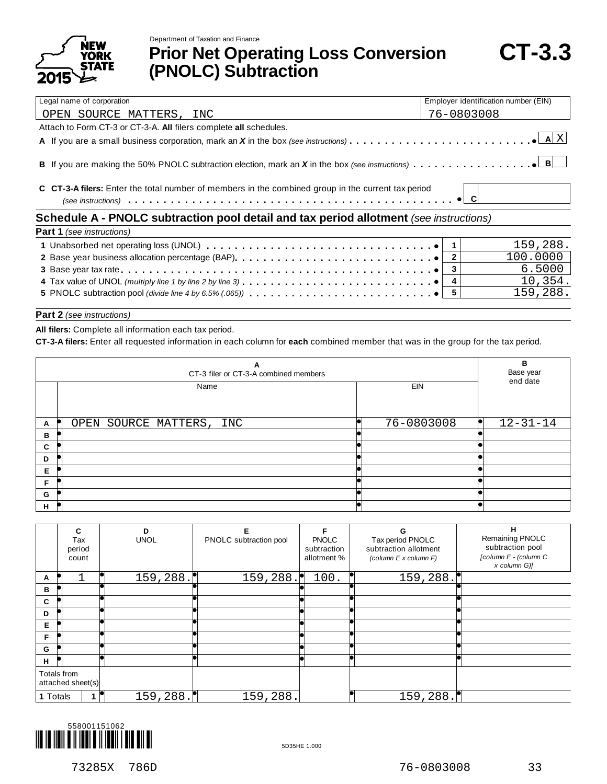



**Prior Net Operating Loss Conversion (PNOLC) Subtraction**

| Legal name of corporation                                                                          | Employer identification number (EIN) |  |  |  |  |  |
|----------------------------------------------------------------------------------------------------|--------------------------------------|--|--|--|--|--|
| OPEN SOURCE MATTERS, INC                                                                           | 76-0803008                           |  |  |  |  |  |
| Attach to Form CT-3 or CT-3-A. All filers complete all schedules.                                  |                                      |  |  |  |  |  |
|                                                                                                    |                                      |  |  |  |  |  |
|                                                                                                    |                                      |  |  |  |  |  |
| C CT-3-A filers: Enter the total number of members in the combined group in the current tax period |                                      |  |  |  |  |  |
| Schedule A - PNOLC subtraction pool detail and tax period allotment (see instructions)             |                                      |  |  |  |  |  |
| Part 1 (see instructions)                                                                          |                                      |  |  |  |  |  |
|                                                                                                    |                                      |  |  |  |  |  |

| <b>Fail</b> I (See Instructions)                                                                                                    |  |          |  |  |  |
|-------------------------------------------------------------------------------------------------------------------------------------|--|----------|--|--|--|
|                                                                                                                                     |  | 159.288. |  |  |  |
|                                                                                                                                     |  | 100,0000 |  |  |  |
|                                                                                                                                     |  | 6.5000   |  |  |  |
| 4 Tax value of UNOL (multiply line 1 by line 2 by line 3) $\dots \dots \dots \dots \dots \dots \dots \dots \dots \dots \dots \dots$ |  | 10,354.  |  |  |  |
|                                                                                                                                     |  | 159,288. |  |  |  |
|                                                                                                                                     |  |          |  |  |  |

#### **Part 2** *(see instructions)*

**All filers:** Complete all information each tax period.

**CT-3-A filers:** Enter all requested information in each column for **each** combined member that was in the group for the tax period.

|   | в<br>Base year<br>end date |      |     |            |  |                |
|---|----------------------------|------|-----|------------|--|----------------|
|   |                            | Name |     | <b>EIN</b> |  |                |
| A | OPEN SOURCE MATTERS,       |      | INC | 76-0803008 |  | $12 - 31 - 14$ |
| в |                            |      |     |            |  |                |
| C |                            |      |     |            |  |                |
| D |                            |      |     |            |  |                |
| Е |                            |      |     |            |  |                |
| F |                            |      |     |            |  |                |
| G |                            |      |     |            |  |                |
| н |                            |      |     |            |  |                |

|          | c<br>Tax<br>period<br>count      | D<br><b>UNOL</b> | F<br>PNOLC subtraction pool | <b>PNOLC</b><br>subtraction<br>allotment % | G<br>Tax period PNOLC<br>subtraction allotment<br>(column E x column F) | н<br>Remaining PNOLC<br>subtraction pool<br>[column E - (column C<br>x column G)] |
|----------|----------------------------------|------------------|-----------------------------|--------------------------------------------|-------------------------------------------------------------------------|-----------------------------------------------------------------------------------|
| A        |                                  | 159, 288.        | 159, 288.                   | 100.                                       | 159,288.                                                                |                                                                                   |
| в        |                                  |                  |                             |                                            |                                                                         |                                                                                   |
| C        |                                  |                  |                             |                                            |                                                                         |                                                                                   |
| D        |                                  |                  |                             |                                            |                                                                         |                                                                                   |
| Е        |                                  |                  |                             |                                            |                                                                         |                                                                                   |
| F        |                                  |                  |                             |                                            |                                                                         |                                                                                   |
| G        |                                  |                  |                             |                                            |                                                                         |                                                                                   |
| н        |                                  |                  |                             |                                            |                                                                         |                                                                                   |
|          | Totals from<br>attached sheet(s) |                  |                             |                                            |                                                                         |                                                                                   |
| 1 Totals |                                  | 159, 288.        | 159,288.                    |                                            | 159, 288.                                                               |                                                                                   |

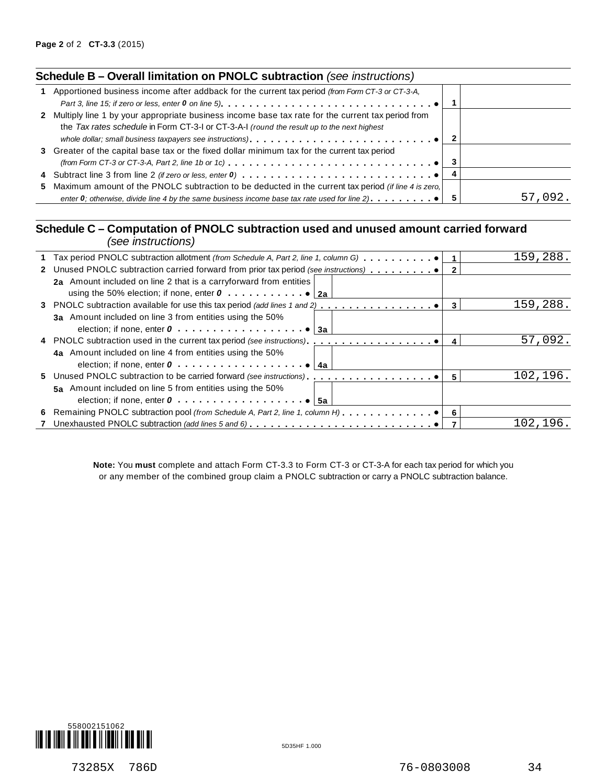| Schedule B - Overall limitation on PNOLC subtraction (see instructions) |  |  |
|-------------------------------------------------------------------------|--|--|
|-------------------------------------------------------------------------|--|--|

| 1 Apportioned business income after addback for the current tax period (from Form CT-3 or CT-3-A,<br>Part 3, line 15; if zero or less, enter 0 on line 5). $\ldots$ . $\ldots$ . $\ldots$ . $\ldots$ . $\ldots$ . $\ldots$ . $\ldots$ . $\bullet$ |              |         |
|---------------------------------------------------------------------------------------------------------------------------------------------------------------------------------------------------------------------------------------------------|--------------|---------|
|                                                                                                                                                                                                                                                   |              |         |
| 2 Multiply line 1 by your appropriate business income base tax rate for the current tax period from                                                                                                                                               |              |         |
| the Tax rates schedule in Form CT-3-I or CT-3-A-I (round the result up to the next highest                                                                                                                                                        |              |         |
|                                                                                                                                                                                                                                                   | $\mathbf{2}$ |         |
| 3 Greater of the capital base tax or the fixed dollar minimum tax for the current tax period                                                                                                                                                      |              |         |
|                                                                                                                                                                                                                                                   |              |         |
|                                                                                                                                                                                                                                                   |              |         |
| 5 Maximum amount of the PNOLC subtraction to be deducted in the current tax period (if line 4 is zero,                                                                                                                                            |              |         |
| enter 0; otherwise, divide line 4 by the same business income base tax rate used for line 2). $\ldots$ , $\ldots$                                                                                                                                 | 5            | 57,092. |
|                                                                                                                                                                                                                                                   |              |         |

# **Schedule C – Computation of PNOLC subtraction used and unused amount carried forward** *(see instructions)*

| ו טווטווטוועווויטטו                                                                         |   |          |
|---------------------------------------------------------------------------------------------|---|----------|
| 1 Tax period PNOLC subtraction allotment (from Schedule A, Part 2, line 1, column G) 1      |   | 159,288. |
| 2 Unused PNOLC subtraction carried forward from prior tax period (see instructions)         |   |          |
| 2a Amount included on line 2 that is a carryforward from entities                           |   |          |
|                                                                                             |   |          |
| 3 PNOLC subtraction available for use this tax period (add lines 1 and 2)                   | 3 | 159,288. |
| 3a Amount included on line 3 from entities using the 50%                                    |   |          |
|                                                                                             |   |          |
|                                                                                             | 4 | 57,092.  |
| 4a Amount included on line 4 from entities using the 50%                                    |   |          |
| election; if none, enter $0, \ldots, \ldots, \ldots, \ldots, \ldots$<br>∣ 4a                |   |          |
|                                                                                             | 5 | 102,196. |
| 5a Amount included on line 5 from entities using the 50%                                    |   |          |
| election; if none, enter $0 \ldots \ldots \ldots \ldots \ldots \ldots \cdot \cdot \cdot$ 5a |   |          |
|                                                                                             |   |          |
|                                                                                             |   | 102,196. |
|                                                                                             |   |          |

**Note:** You **must** complete and attach Form CT-3.3 to Form CT-3 or CT-3-A for each tax period for which you or any member of the combined group claim a PNOLC subtraction or carry a PNOLC subtraction balance.

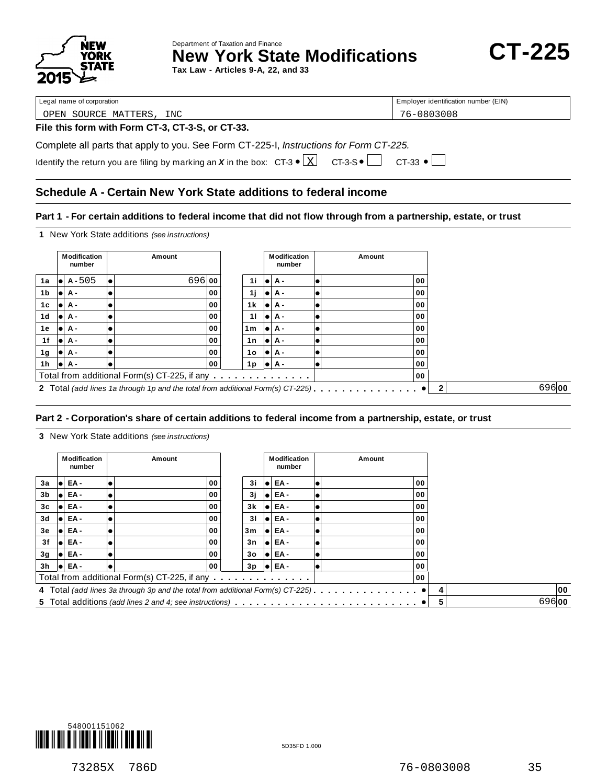

Department of Taxation and Finance **New York State Modifications CT-225** 

**Tax Law - Articles 9-A, 22, and 33**

Legal name of corporation extensive terms of corporation and the corporation of Employer identification number (EIN)

OPEN SOURCE MATTERS, INC 76-0803008

#### **File this form with Form CT-3, CT-3-S, or CT-33.**

Complete all parts that apply to you. See Form CT-225-I, *Instructions for Form CT-225.*

|  | Identify the return you are filing by marking an X in the box: $CT-3 \cdot \boxed{X}$ $CT-3-5 \cdot \boxed{}$ $CT-33 \cdot \boxed{}$ |  |  |
|--|--------------------------------------------------------------------------------------------------------------------------------------|--|--|

# **Schedule A - Certain New York State additions to federal income**

#### Part 1 - For certain additions to federal income that did not flow through from a partnership, estate, or trust

**1** New York State additions *(see instructions)*

|     |      | Modification<br>number | Amount                                                                         |    |                | <b>Modification</b><br>number | Amount |    |                       |
|-----|------|------------------------|--------------------------------------------------------------------------------|----|----------------|-------------------------------|--------|----|-----------------------|
| 1a  | 10 L | $A - 505$              | 696 00                                                                         |    | 1i             | $  \bullet   A -$             |        | 00 |                       |
| 1b  | lol  | А-                     |                                                                                | 00 | 1j             | lei A -                       |        | 00 |                       |
| 1c  | lol  | А-                     |                                                                                | 00 | 1 k            | lei A -                       |        | 00 |                       |
| 1d  | le i | <b>A</b> -             |                                                                                | 00 | 11             | lei A -                       |        | 00 |                       |
| 1е  | lol  | А-                     |                                                                                | 00 | 1 <sub>m</sub> | lei A -                       |        | 00 |                       |
| 1f  |      | l●l A -                |                                                                                | 00 | 1n             | $  \bullet   A -$             |        | 00 |                       |
| 1g  |      | l●l A -                |                                                                                | 00 | 1o             | $  \bullet   A -$             |        | 00 |                       |
| 1 h |      | I●IA -                 |                                                                                | 00 | 1p             | $  \bullet   A -$             |        | 00 |                       |
|     |      |                        | Total from additional Form(s) CT-225, if any                                   |    |                |                               |        | 00 |                       |
|     |      |                        | 2 Total (add lines 1a through 1p and the total from additional Form(s) CT-225) |    |                |                               |        |    | 69600<br>$\mathbf{2}$ |

## **Part 2 -Corporation's share of certain additions to federal income from a partnership, estate, or trust**

**3** New York State additions *(see instructions)*

|                |  | Modification<br>number |  | Amount                                       |                |  | <b>Modification</b><br>number | Amount |   |       |
|----------------|--|------------------------|--|----------------------------------------------|----------------|--|-------------------------------|--------|---|-------|
| 3a             |  | I●I EA -               |  | 00                                           | 3i             |  | EA-                           | 00     |   |       |
| 3 <sub>b</sub> |  | I●I EA -               |  | 00                                           | 3i             |  | I●I EA -                      | 00     |   |       |
| 3c             |  | I●I EA -               |  | 00                                           | 3k             |  | EA-                           | 00     |   |       |
| 3d             |  | lei EA -               |  | 00                                           | 31             |  | EA-                           | 00     |   |       |
| 3e             |  | I●I EA -               |  | 00                                           | 3m             |  | EA-                           | 00     |   |       |
| 3f             |  | $  \bullet  $ EA -     |  | 00                                           | 3n             |  | EA-                           | 00     |   |       |
| 3g             |  | I●I EA -               |  | 00                                           | 3 <sub>o</sub> |  | EA-                           | 00     |   |       |
| 3h             |  | $  \bullet  $ EA -     |  | 00                                           | 3p             |  | $  \bullet  $ EA -            | 00     |   |       |
|                |  |                        |  | Total from additional Form(s) CT-225, if any |                |  |                               | 00     |   |       |
|                |  |                        |  |                                              |                |  |                               |        |   | 00    |
|                |  |                        |  |                                              |                |  |                               |        | 5 | 69600 |

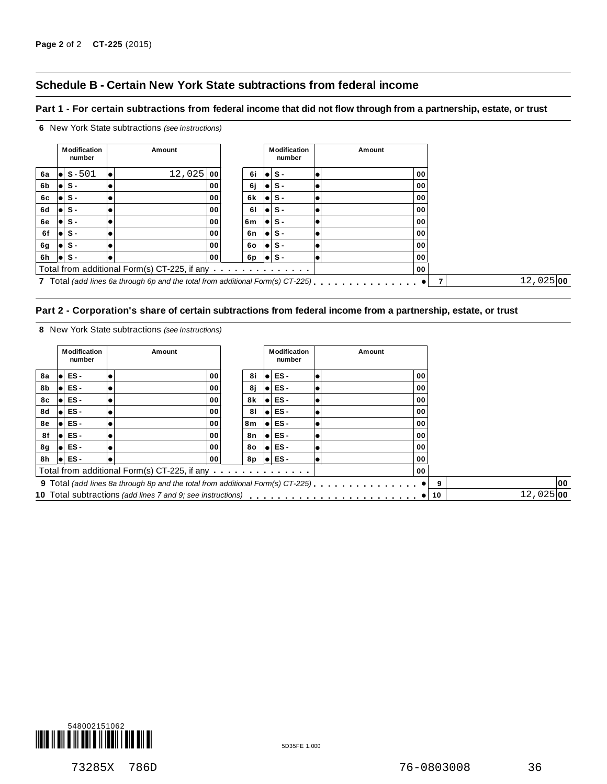# **Schedule B - Certain New York State subtractions from federal income**

#### Part 1 - For certain subtractions from federal income that did not flow through from a partnership, estate, or trust



#### Part 2 - Corporation's share of certain subtractions from federal income from a partnership, estate, or trust

**8** New York State subtractions *(see instructions)*

|    | <b>Modification</b><br>number | Amount |                                                                                 |    |       | <b>Modification</b><br>number |    | Amount |    |                    |
|----|-------------------------------|--------|---------------------------------------------------------------------------------|----|-------|-------------------------------|----|--------|----|--------------------|
| 8a | Iel ES -                      |        | 00                                                                              | 8i |       | ES-                           |    | 00     |    |                    |
| 8b | Iel ES -                      |        | 00                                                                              | 8ј |       | Iel ES -                      | lo | 00     |    |                    |
| 8с | Iel ES -                      |        | 00                                                                              | 8k |       | ES-                           |    | 00     |    |                    |
| 8d | Iel ES -                      |        | 00                                                                              | 81 |       | Iel ES -                      |    | 00     |    |                    |
| 8e | ES -                          |        | 00                                                                              | 8m | ا ہ ا | ES-                           |    | 00     |    |                    |
| 8f | $\bullet$ ES -                |        | 00                                                                              | 8n |       | $\bullet$ ES -                |    | 00     |    |                    |
| 8g | $\bullet$ ES -                |        | 00                                                                              | 80 | ا ھا  | ES-                           |    | 00     |    |                    |
| 8h | $\bullet$ ES -                |        | 00                                                                              | 8p |       | $\bullet$ ES -                | le | 00     |    |                    |
|    |                               |        | Total from additional Form(s) CT-225, if any                                    |    |       |                               |    | 00     |    |                    |
|    |                               |        | 9 Total (add lines 8a through 8p and the total from additional Form(s) CT-225). |    |       |                               |    |        |    | 00                 |
|    |                               |        |                                                                                 |    |       |                               |    |        | 10 | $12,025$ <b>00</b> |

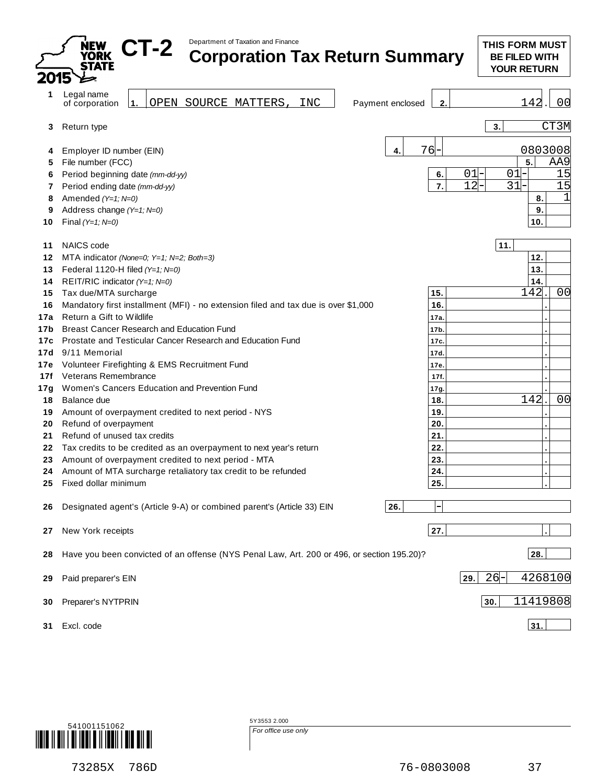|                   | Department of Taxation and Finance<br><b>JEW</b><br>CT-2<br><b>Corporation Tax Return Summary</b><br><b>YORK</b><br><b>STATE</b>                                    |                                | <b>THIS FORM MUST</b><br><b>BE FILED WITH</b><br><b>YOUR RETURN</b> |
|-------------------|---------------------------------------------------------------------------------------------------------------------------------------------------------------------|--------------------------------|---------------------------------------------------------------------|
| 1                 | Legal name<br>OPEN SOURCE MATTERS<br>INC<br>$\vert$ 1.<br>Payment enclosed<br>of corporation                                                                        | 2.                             | 142<br>00                                                           |
| 3                 | Return type                                                                                                                                                         |                                | CT3M<br>3.                                                          |
| 4<br>5            | 4<br>Employer ID number (EIN)<br>File number (FCC)                                                                                                                  | 76                             | 0803008<br>5.<br>AA9                                                |
| 6<br>7            | Period beginning date (mm-dd-yy)<br>Period ending date (mm-dd-yy)                                                                                                   | 6.<br>7.                       | 01<br>$01 -$<br>15<br>12<br>$31 -$<br>15                            |
| 8<br>9<br>10      | Amended (Y=1; N=0)<br>Address change (Y=1; N=0)<br>Final $(Y=1; N=0)$                                                                                               |                                | 8.<br>9.<br>10.                                                     |
| 11<br>12          | <b>NAICS</b> code<br>MTA indicator (None=0; Y=1; N=2; Both=3)                                                                                                       |                                | 11.<br>12.                                                          |
| 13<br>14<br>15    | Federal 1120-H filed (Y=1; N=0)<br>REIT/RIC indicator (Y=1; N=0)<br>Tax due/MTA surcharge                                                                           | 15.                            | 13.<br>14.<br>142<br>00                                             |
| 16<br>17a<br>17b  | Mandatory first installment (MFI) - no extension filed and tax due is over \$1,000<br>Return a Gift to Wildlife<br><b>Breast Cancer Research and Education Fund</b> | 16.<br>17a.<br>17 <sub>b</sub> |                                                                     |
| 17c<br>17d<br>17e | Prostate and Testicular Cancer Research and Education Fund<br>9/11 Memorial<br>Volunteer Firefighting & EMS Recruitment Fund                                        | 17c.<br>17d<br>17e             |                                                                     |
| 17f<br>17g<br>18  | Veterans Remembrance<br>Women's Cancers Education and Prevention Fund<br>Balance due                                                                                | 17f.<br>17g.<br>18.            | 142<br>00                                                           |
| 19<br>20<br>21    | Amount of overpayment credited to next period - NYS<br>Refund of overpayment<br>Refund of unused tax credits                                                        | 19.<br>20.<br>21.              |                                                                     |
| 22<br>23          | Tax credits to be credited as an overpayment to next year's return<br>Amount of overpayment credited to next period - MTA                                           | 22.<br>23.                     |                                                                     |
| 24<br>25          | Amount of MTA surcharge retaliatory tax credit to be refunded<br>Fixed dollar minimum                                                                               | 24.<br>25.                     |                                                                     |
| 26                | 26.<br>Designated agent's (Article 9-A) or combined parent's (Article 33) EIN                                                                                       | 27.                            |                                                                     |
| 27<br>28          | New York receipts<br>Have you been convicted of an offense (NYS Penal Law, Art. 200 or 496, or section 195.20)?                                                     |                                | 28.                                                                 |
| 29                | Paid preparer's EIN                                                                                                                                                 |                                | $26 -$<br>4268100<br>29.                                            |
| 30                | Preparer's NYTPRIN                                                                                                                                                  |                                | 11419808<br>30.                                                     |
| 31                | Excl. code                                                                                                                                                          |                                | 31.                                                                 |



5Y3553 2.000 *For office use only*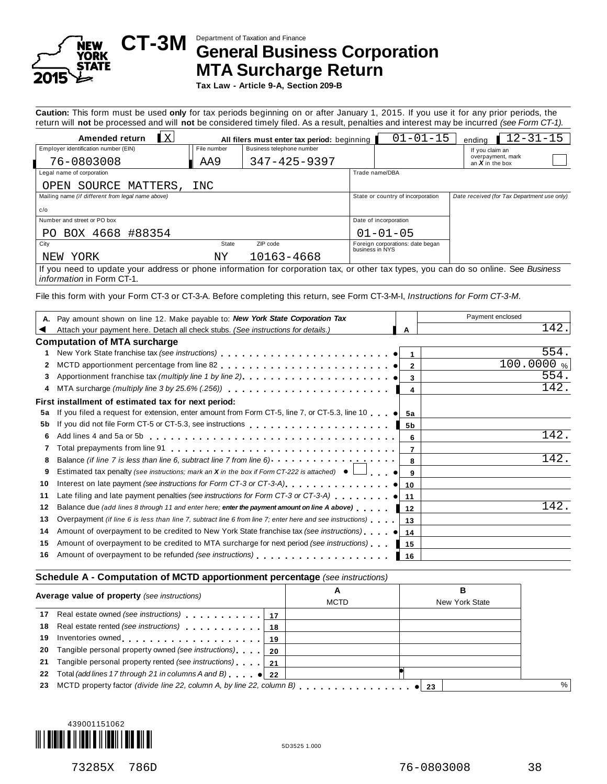

# Department of Taxation and Finance **CT-3M General Business Corporation MTA Surcharge Return**

**Tax Law - Article 9-A, Section 209-B**

**Caution:** This form must be used **only** for tax periods beginning on or after January 1, 2015. If you use it for any prior periods, the return will **not** be processed and will **not** be considered timely filed. As a result, penalties and interest may be incurred *(see Form CT-1).*

|                                                                                                                                     |             | $\cdot$ .                                   |                 |                                   |                                             |
|-------------------------------------------------------------------------------------------------------------------------------------|-------------|---------------------------------------------|-----------------|-----------------------------------|---------------------------------------------|
| $\mathbf{K}$<br>Amended return                                                                                                      |             | All filers must enter tax period: beginning |                 | $01 - 01 - 15$                    | $12 - 31 - 15$<br>endina                    |
| Employer identification number (EIN)                                                                                                | File number | Business telephone number                   |                 |                                   | If you claim an                             |
| 76-0803008                                                                                                                          | AA9         | 347-425-9397                                |                 |                                   | overpayment, mark<br>an $X$ in the box      |
| Legal name of corporation                                                                                                           |             |                                             |                 | Trade name/DBA                    |                                             |
| SOURCE MATTERS,<br>OPEN                                                                                                             | INC         |                                             |                 |                                   |                                             |
| Mailing name (if different from legal name above)                                                                                   |             |                                             |                 | State or country of incorporation | Date received (for Tax Department use only) |
| c/o                                                                                                                                 |             |                                             |                 |                                   |                                             |
| Number and street or PO box                                                                                                         |             |                                             |                 | Date of incorporation             |                                             |
| PO BOX 4668 #88354                                                                                                                  |             |                                             |                 | $01 - 01 - 05$                    |                                             |
| City                                                                                                                                | State       | ZIP code                                    | business in NYS | Foreign corporations: date began  |                                             |
| YORK<br>NEW                                                                                                                         | ΝY          | 10163-4668                                  |                 |                                   |                                             |
| If you need to update your address or phone information for corporation tax, or other tax types, you can do so online. See Business |             |                                             |                 |                                   |                                             |

*information* in Form CT-1.

File this form with your Form CT-3 or CT-3-A. Before completing this return, see Form CT-3-M-I, *Instructions for Form CT-3-M*.

| A. Pay amount shown on line 12. Make payable to: New York State Corporation Tax                                                           |                | Payment enclosed |
|-------------------------------------------------------------------------------------------------------------------------------------------|----------------|------------------|
| Attach your payment here. Detach all check stubs. (See instructions for details.)                                                         | A              | 142              |
| <b>Computation of MTA surcharge</b>                                                                                                       |                |                  |
|                                                                                                                                           |                | 554.             |
| 2                                                                                                                                         |                | 100.0000%        |
|                                                                                                                                           |                | 554.             |
|                                                                                                                                           | 4              | 142.             |
| First installment of estimated tax for next period:                                                                                       |                |                  |
| If you filed a request for extension, enter amount from Form CT-5, line 7, or CT-5.3, line 10 $\bullet$ 5a<br>5a                          |                |                  |
| 5b                                                                                                                                        | 5b             |                  |
| 6                                                                                                                                         | 6              | 142.             |
| Total prepayments from line $91$ $\ldots$ $\ldots$ $\ldots$ $\ldots$ $\ldots$ $\ldots$ $\ldots$ $\ldots$ $\ldots$ $\ldots$ $\ldots$ .     | $\overline{7}$ |                  |
| Balance (if line 7 is less than line 6, subtract line 7 from line 6) $\cdots$ $\cdots$ $\cdots$ $\cdots$ $\cdots$ $\cdots$<br>8           |                | 142              |
| Estimated tax penalty (see instructions; mark an <b>X</b> in the box if Form CT-222 is attached) $\bullet$ $\Box$ $\bullet$ <b>9</b><br>9 |                |                  |
| 10                                                                                                                                        |                |                  |
| Late filing and late payment penalties (see instructions for Form CT-3 or CT-3-A) $\bullet$ 11<br>11                                      |                |                  |
| Balance due (add lines 8 through 11 and enter here; enter the payment amount on line A above)<br>12                                       | 12             | 142              |
| Overpayment (if line 6 is less than line 7, subtract line 6 from line 7; enter here and see instructions)<br>13                           | 13             |                  |
| Amount of overpayment to be credited to New York State franchise tax (see instructions) $\bullet$<br>14                                   | 14             |                  |
| Amount of overpayment to be credited to MTA surcharge for next period (see instructions)<br>15                                            | 15             |                  |
| Amount of overpayment to be refunded (see instructions) entitled and such a set of the set of the Amount of over-<br>16                   | 16             |                  |
|                                                                                                                                           |                |                  |

#### **Schedule A - Computation of MCTD apportionment percentage** *(see instructions)*

| Average value of property (see instructions)                 | A<br><b>MCTD</b> | в<br>New York State |  |
|--------------------------------------------------------------|------------------|---------------------|--|
|                                                              |                  |                     |  |
| 18 Real estate rented (see instructions) 18                  |                  |                     |  |
| 19 Inventories owned 19   19                                 |                  |                     |  |
| 20 Tangible personal property owned (see instructions)   20  |                  |                     |  |
| 21 Tangible personal property rented (see instructions)   21 |                  |                     |  |
| 22 Total (add lines 17 through 21 in columns A and B) $ 22 $ |                  |                     |  |
|                                                              |                  |                     |  |
|                                                              |                  |                     |  |

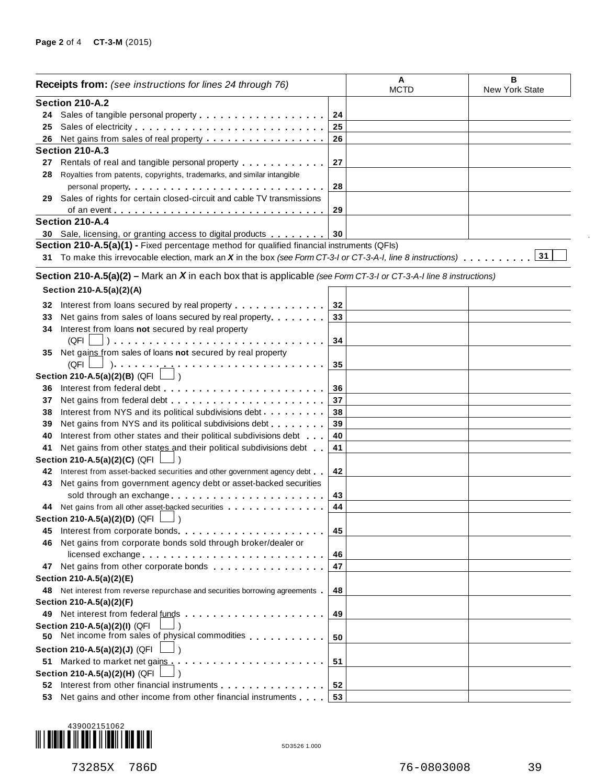|     | <b>Receipts from:</b> (see instructions for lines 24 through 76)                                                                                                                                                                     |    | A<br><b>MCTD</b> | в<br>New York State |
|-----|--------------------------------------------------------------------------------------------------------------------------------------------------------------------------------------------------------------------------------------|----|------------------|---------------------|
|     | Section 210-A.2                                                                                                                                                                                                                      |    |                  |                     |
|     |                                                                                                                                                                                                                                      | 24 |                  |                     |
| 25  | Sales of electricity                                                                                                                                                                                                                 | 25 |                  |                     |
| 26  | Net gains from sales of real property                                                                                                                                                                                                | 26 |                  |                     |
|     | Section 210-A.3                                                                                                                                                                                                                      |    |                  |                     |
| 27  | Rentals of real and tangible personal property entitled as a set of real and tangible personal property                                                                                                                              | 27 |                  |                     |
| 28  | Royalties from patents, copyrights, trademarks, and similar intangible                                                                                                                                                               |    |                  |                     |
|     |                                                                                                                                                                                                                                      | 28 |                  |                     |
| 29  | Sales of rights for certain closed-circuit and cable TV transmissions                                                                                                                                                                |    |                  |                     |
|     |                                                                                                                                                                                                                                      | 29 |                  |                     |
|     | Section 210-A.4                                                                                                                                                                                                                      |    |                  |                     |
|     | 30 Sale, licensing, or granting access to digital products                                                                                                                                                                           | 30 |                  |                     |
|     | Section 210-A.5(a)(1) - Fixed percentage method for qualified financial instruments (QFIs)                                                                                                                                           |    |                  |                     |
|     | 31 To make this irrevocable election, mark an X in the box (see Form CT-3-I or CT-3-A-I, line 8 instructions)                                                                                                                        |    |                  | 31                  |
|     |                                                                                                                                                                                                                                      |    |                  |                     |
|     | Section 210-A.5(a)(2) – Mark an $X$ in each box that is applicable (see Form CT-3-I or CT-3-A-I line 8 instructions)                                                                                                                 |    |                  |                     |
|     | Section 210-A.5(a)(2)(A)                                                                                                                                                                                                             |    |                  |                     |
| 32  |                                                                                                                                                                                                                                      | 32 |                  |                     |
| 33  | Net gains from sales of loans secured by real property                                                                                                                                                                               | 33 |                  |                     |
| 34  | Interest from loans not secured by real property                                                                                                                                                                                     |    |                  |                     |
|     | (QFI                                                                                                                                                                                                                                 | 34 |                  |                     |
| 35  | Net gains from sales of loans not secured by real property                                                                                                                                                                           |    |                  |                     |
|     | (QFI                                                                                                                                                                                                                                 | 35 |                  |                     |
|     | Section 210-A.5(a)(2)(B) (QFI $\Box$ )                                                                                                                                                                                               |    |                  |                     |
| 36  |                                                                                                                                                                                                                                      | 36 |                  |                     |
| 37  | Net gains from federal debt                                                                                                                                                                                                          | 37 |                  |                     |
| 38  | Interest from NYS and its political subdivisions debt.                                                                                                                                                                               | 38 |                  |                     |
| 39  | Net gains from NYS and its political subdivisions debt                                                                                                                                                                               | 39 |                  |                     |
| 40  | Interest from other states and their political subdivisions debt                                                                                                                                                                     | 40 |                  |                     |
|     | Net gains from other states and their political subdivisions debt                                                                                                                                                                    |    |                  |                     |
| 41  |                                                                                                                                                                                                                                      | 41 |                  |                     |
|     | Section 210-A.5(a)(2)(C) (QFI                                                                                                                                                                                                        |    |                  |                     |
| 42  | Interest from asset-backed securities and other government agency debt.                                                                                                                                                              | 42 |                  |                     |
| 43  | Net gains from government agency debt or asset-backed securities                                                                                                                                                                     |    |                  |                     |
|     | sold through an exchange                                                                                                                                                                                                             | 43 |                  |                     |
|     | 44 Net gains from all other asset-backed securities<br>Section 210-A.5(a)(2)(D) (QFI $\Box$ )                                                                                                                                        | 44 |                  |                     |
|     |                                                                                                                                                                                                                                      |    |                  |                     |
| 45  | Interest from corporate bonds.                                                                                                                                                                                                       | 45 |                  |                     |
| 46. | Net gains from corporate bonds sold through broker/dealer or                                                                                                                                                                         |    |                  |                     |
|     | licensed exchange                                                                                                                                                                                                                    | 46 |                  |                     |
|     | 47 Net gains from other corporate bonds                                                                                                                                                                                              | 47 |                  |                     |
|     | Section 210-A.5(a)(2)(E)                                                                                                                                                                                                             |    |                  |                     |
|     | 48 Net interest from reverse repurchase and securities borrowing agreements                                                                                                                                                          | 48 |                  |                     |
|     | Section 210-A.5(a)(2)(F)                                                                                                                                                                                                             |    |                  |                     |
|     | 49 Net interest from federal funds                                                                                                                                                                                                   | 49 |                  |                     |
|     | Section 210-A.5(a)(2)(I) (QFI<br>50 Net income from sales of physical commodities                                                                                                                                                    |    |                  |                     |
|     |                                                                                                                                                                                                                                      | 50 |                  |                     |
|     | Section 210-A.5(a)(2)(J) (QFI                                                                                                                                                                                                        |    |                  |                     |
| 51  | Marked to market net gains                                                                                                                                                                                                           | 51 |                  |                     |
|     | Section 210-A.5(a)(2)(H) (QFI                                                                                                                                                                                                        |    |                  |                     |
| 52  | Interest from other financial instruments <b>and the state of the state of the state of the state of the state of the state of the state of the state of the state of the state of the state of the state of the state of the st</b> | 52 |                  |                     |
| 53  | Net gains and other income from other financial instruments                                                                                                                                                                          | 53 |                  |                     |



 $\bar{.}$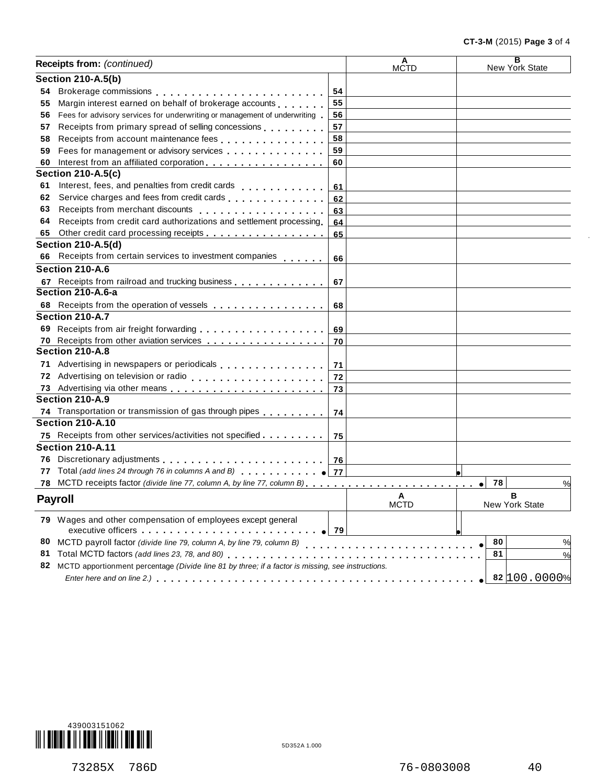|     | Receipts from: (continued)                                                                                                                                                                                                                  |    | A<br>MCTD        | $\overline{\mathbf{B}}$<br>New York State |
|-----|---------------------------------------------------------------------------------------------------------------------------------------------------------------------------------------------------------------------------------------------|----|------------------|-------------------------------------------|
|     | <b>Section 210-A.5(b)</b>                                                                                                                                                                                                                   |    |                  |                                           |
| 54  |                                                                                                                                                                                                                                             | 54 |                  |                                           |
| 55  | Margin interest earned on behalf of brokerage accounts                                                                                                                                                                                      | 55 |                  |                                           |
| 56  | Fees for advisory services for underwriting or management of underwriting                                                                                                                                                                   | 56 |                  |                                           |
| 57  | Receipts from primary spread of selling concessions                                                                                                                                                                                         | 57 |                  |                                           |
| 58  |                                                                                                                                                                                                                                             | 58 |                  |                                           |
| 59  | Fees for management or advisory services expressions are all the set of the set of the set of the set of the set of the set of the set of the set of the set of the set of the set of the set of the set of the set of the set              | 59 |                  |                                           |
| 60  | Interest from an affiliated corporation.                                                                                                                                                                                                    | 60 |                  |                                           |
|     | <b>Section 210-A.5(c)</b>                                                                                                                                                                                                                   |    |                  |                                           |
| 61  | Interest, fees, and penalties from credit cards                                                                                                                                                                                             | 61 |                  |                                           |
| 62  |                                                                                                                                                                                                                                             | 62 |                  |                                           |
| 63  | Receipts from merchant discounts entitled and an article of Receipts from merchant discounts                                                                                                                                                | 63 |                  |                                           |
| 64  | Receipts from credit card authorizations and settlement processing                                                                                                                                                                          | 64 |                  |                                           |
| 65  |                                                                                                                                                                                                                                             | 65 |                  |                                           |
|     | <b>Section 210-A.5(d)</b>                                                                                                                                                                                                                   |    |                  |                                           |
| 66  | Receipts from certain services to investment companies                                                                                                                                                                                      | 66 |                  |                                           |
|     | Section 210-A.6                                                                                                                                                                                                                             |    |                  |                                           |
|     | 67 Receipts from railroad and trucking business                                                                                                                                                                                             | 67 |                  |                                           |
|     | Section 210-A.6-a                                                                                                                                                                                                                           |    |                  |                                           |
|     | 68 Receipts from the operation of vessels                                                                                                                                                                                                   | 68 |                  |                                           |
|     | Section 210-A.7                                                                                                                                                                                                                             |    |                  |                                           |
|     |                                                                                                                                                                                                                                             |    |                  |                                           |
|     | 70 Receipts from other aviation services                                                                                                                                                                                                    | 70 |                  |                                           |
|     | Section 210-A.8                                                                                                                                                                                                                             |    |                  |                                           |
|     | 71 Advertising in newspapers or periodicals [1] Advertising in new spapers or periodicals                                                                                                                                                   | 71 |                  |                                           |
|     |                                                                                                                                                                                                                                             | 72 |                  |                                           |
|     |                                                                                                                                                                                                                                             | 73 |                  |                                           |
|     | Section 210-A.9                                                                                                                                                                                                                             |    |                  |                                           |
|     | 74 Transportation or transmission of gas through pipes [1, 1, 1, 1, 1, 1]                                                                                                                                                                   | 74 |                  |                                           |
|     | <b>Section 210-A.10</b>                                                                                                                                                                                                                     |    |                  |                                           |
|     | 75 Receipts from other services/activities not specified                                                                                                                                                                                    | 75 |                  |                                           |
|     | <b>Section 210-A.11</b>                                                                                                                                                                                                                     |    |                  |                                           |
|     |                                                                                                                                                                                                                                             |    |                  |                                           |
| 77  | Total (add lines 24 through 76 in columns A and B) <b>TOTAL 1999 177</b>                                                                                                                                                                    |    |                  |                                           |
| 78. |                                                                                                                                                                                                                                             |    |                  | 78<br>%<br>$\bullet$                      |
|     | <b>Payroll</b>                                                                                                                                                                                                                              |    | A<br><b>MCTD</b> | в<br>New York State                       |
|     | 79 Wages and other compensation of employees except general                                                                                                                                                                                 |    |                  |                                           |
|     | executive officers experience and the series of the series of the series of the series of the series of the series of the series of the series of the series of the series of the series of the series of the series of the se<br>$\sim$ 79 |    |                  |                                           |
| 80  | MCTD payroll factor (divide line 79, column A, by line 79, column B)                                                                                                                                                                        |    |                  | 80<br>%                                   |
| 81  | Total MCTD factors (add lines 23, 78, and 80)                                                                                                                                                                                               |    |                  | 81<br>%                                   |
| 82  | MCTD apportionment percentage (Divide line 81 by three; if a factor is missing, see instructions.                                                                                                                                           |    |                  |                                           |
|     |                                                                                                                                                                                                                                             |    |                  | 82 100.0000%                              |